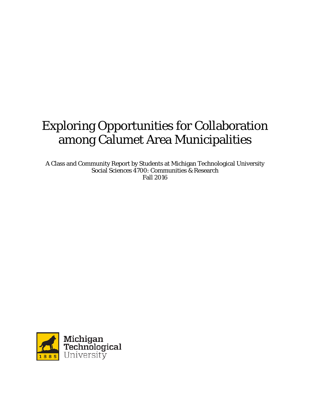# Exploring Opportunities for Collaboration among Calumet Area Municipalities

A Class and Community Report by Students at Michigan Technological University Social Sciences 4700: Communities & Research Fall 2016

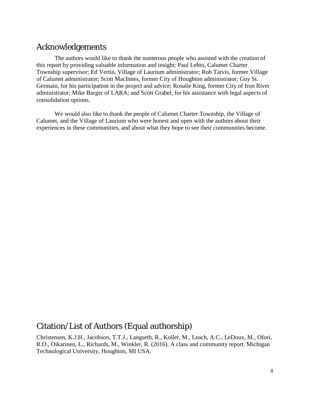# Acknowledgements

The authors would like to thank the numerous people who assisted with the creation of this report by providing valuable information and insight: Paul Lehto, Calumet Charter Township supervisor; Ed Vertin, Village of Laurium administrator; Rob Tarvis, former Village of Calumet administrator; Scott MacInnes, former City of Houghton administrator; Guy St. Germain, for his participation in the project and advice; Rosalie King, former City of Iron River administrator; Mike Barger of LARA; and Scott Grabel, for his assistance with legal aspects of consolidation options.

We would also like to thank the people of Calumet Charter Township, the Village of Calumet, and the Village of Laurium who were honest and open with the authors about their experiences in these communities, and about what they hope to see their communities become.

# Citation/List of Authors (Equal authorship)

Christensen, K.J.H., Jacobson, T.T.J., Langseth, R., Koller, M., Leach, A.C., LeDoux, M., Ofori, R.O., Oikarinen, L., Richards, M., Winkler, R. (2016). A class and community report. Michigan Technological University, Houghton, MI USA.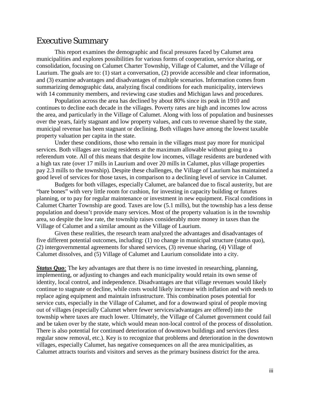# Executive Summary

This report examines the demographic and fiscal pressures faced by Calumet area municipalities and explores possibilities for various forms of cooperation, service sharing, or consolidation, focusing on Calumet Charter Township, Village of Calumet, and the Village of Laurium. The goals are to: (1) start a conversation, (2) provide accessible and clear information, and (3) examine advantages and disadvantages of multiple scenarios. Information comes from summarizing demographic data, analyzing fiscal conditions for each municipality, interviews with 14 community members, and reviewing case studies and Michigan laws and procedures.

Population across the area has declined by about 80% since its peak in 1910 and continues to decline each decade in the villages. Poverty rates are high and incomes low across the area, and particularly in the Village of Calumet. Along with loss of population and businesses over the years, fairly stagnant and low property values, and cuts to revenue shared by the state, municipal revenue has been stagnant or declining. Both villages have among the lowest taxable property valuation per capita in the state.

Under these conditions, those who remain in the villages must pay more for municipal services. Both villages are taxing residents at the maximum allowable without going to a referendum vote. All of this means that despite low incomes, village residents are burdened with a high tax rate (over 17 mills in Laurium and over 20 mills in Calumet, plus village properties pay 2.3 mills to the township). Despite these challenges, the Village of Laurium has maintained a good level of services for those taxes, in comparison to a declining level of service in Calumet.

Budgets for both villages, especially Calumet, are balanced due to fiscal austerity, but are "bare bones" with very little room for cushion, for investing in capacity building or futures planning, or to pay for regular maintenance or investment in new equipment. Fiscal conditions in Calumet Charter Township are good. Taxes are low (5.1 mills), but the township has a less dense population and doesn't provide many services. Most of the property valuation is in the township area, so despite the low rate, the township raises considerably more money in taxes than the Village of Calumet and a similar amount as the Village of Laurium.

Given these realities, the research team analyzed the advantages and disadvantages of five different potential outcomes, including: (1) no change in municipal structure (status quo), (2) intergovernmental agreements for shared services, (3) revenue sharing, (4) Village of Calumet dissolves, and (5) Village of Calumet and Laurium consolidate into a city.

*Status Quo*: The key advantages are that there is no time invested in researching, planning, implementing, or adjusting to changes and each municipality would retain its own sense of identity, local control, and independence. Disadvantages are that village revenues would likely continue to stagnate or decline, while costs would likely increase with inflation and with needs to replace aging equipment and maintain infrastructure. This combination poses potential for service cuts, especially in the Village of Calumet, and for a downward spiral of people moving out of villages (especially Calumet where fewer services/advantages are offered) into the township where taxes are much lower. Ultimately, the Village of Calumet government could fail and be taken over by the state, which would mean non-local control of the process of dissolution. There is also potential for continued deterioration of downtown buildings and services (less regular snow removal, etc.). Key is to recognize that problems and deterioration in the downtown villages, especially Calumet, has negative consequences on all the area municipalities, as Calumet attracts tourists and visitors and serves as the primary business district for the area.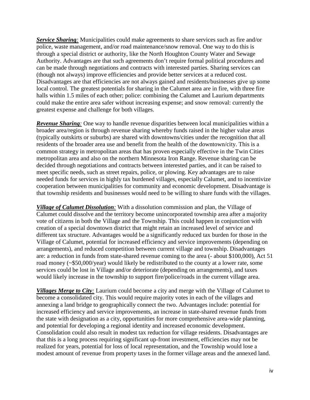*Service Sharing:* Municipalities could make agreements to share services such as fire and/or police, waste management, and/or road maintenance/snow removal. One way to do this is through a special district or authority, like the North Houghton County Water and Sewage Authority. Advantages are that such agreements don't require formal political procedures and can be made through negotiations and contracts with interested parties. Sharing services can (though not always) improve efficiencies and provide better services at a reduced cost. Disadvantages are that efficiencies are not always gained and residents/businesses give up some local control. The greatest potentials for sharing in the Calumet area are in fire, with three fire halls within 1.5 miles of each other; police: combining the Calumet and Laurium departments could make the entire area safer without increasing expense; and snow removal: currently the greatest expense and challenge for both villages.

*Revenue Sharing:* One way to handle revenue disparities between local municipalities within a broader area/region is through revenue sharing whereby funds raised in the higher value areas (typically outskirts or suburbs) are shared with downtowns/cities under the recognition that all residents of the broader area use and benefit from the health of the downtown/city. This is a common strategy in metropolitan areas that has proven especially effective in the Twin Cities metropolitan area and also on the northern Minnesota Iron Range. Revenue sharing can be decided through negotiations and contracts between interested parties, and it can be raised to meet specific needs, such as street repairs, police, or plowing. Key advantages are to raise needed funds for services in highly tax burdened villages, especially Calumet, and to incentivize cooperation between municipalities for community and economic development. Disadvantage is that township residents and businesses would need to be willing to share funds with the villages.

*Village of Calumet Dissolution:* With a dissolution commission and plan, the Village of Calumet could dissolve and the territory become unincorporated township area after a majority vote of citizens in both the Village and the Township. This could happen in conjunction with creation of a special downtown district that might retain an increased level of service and different tax structure. Advantages would be a significantly reduced tax burden for those in the Village of Calumet, potential for increased efficiency and service improvements (depending on arrangements), and reduced competition between current village and township. Disadvantages are: a reduction in funds from state-shared revenue coming to the area (- about \$100,000), Act 51 road money (~\$50,000/year) would likely be redistributed to the county at a lower rate, some services could be lost in Village and/or deteriorate (depending on arrangements), and taxes would likely increase in the township to support fire/police/roads in the current village area.

*Villages Merge to City:* Laurium could become a city and merge with the Village of Calumet to become a consolidated city. This would require majority votes in each of the villages and annexing a land bridge to geographically connect the two. Advantages include: potential for increased efficiency and service improvements, an increase in state-shared revenue funds from the state with designation as a city, opportunities for more comprehensive area-wide planning, and potential for developing a regional identity and increased economic development. Consolidation could also result in modest tax reduction for village residents. Disadvantages are that this is a long process requiring significant up-front investment, efficiencies may not be realized for years, potential for loss of local representation, and the Township would lose a modest amount of revenue from property taxes in the former village areas and the annexed land.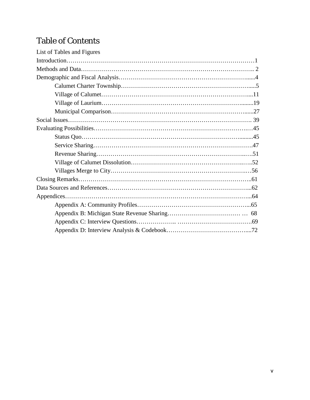# Table of Contents

| List of Tables and Figures |  |
|----------------------------|--|
|                            |  |
|                            |  |
|                            |  |
|                            |  |
|                            |  |
|                            |  |
|                            |  |
|                            |  |
|                            |  |
|                            |  |
|                            |  |
|                            |  |
|                            |  |
|                            |  |
|                            |  |
|                            |  |
|                            |  |
|                            |  |
|                            |  |
|                            |  |
|                            |  |
|                            |  |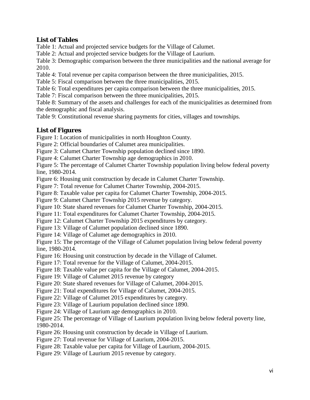# **List of Tables**

Table 1: Actual and projected service budgets for the Village of Calumet.

Table 2: Actual and projected service budgets for the Village of Laurium.

Table 3: Demographic comparison between the three municipalities and the national average for 2010.

Table 4: Total revenue per capita comparison between the three municipalities, 2015.

Table 5: Fiscal comparison between the three municipalities, 2015.

Table 6: Total expenditures per capita comparison between the three municipalities, 2015.

Table 7: Fiscal comparison between the three municipalities, 2015.

Table 8: Summary of the assets and challenges for each of the municipalities as determined from the demographic and fiscal analysis.

Table 9: Constitutional revenue sharing payments for cities, villages and townships.

# **List of Figures**

Figure 1: Location of municipalities in north Houghton County.

Figure 2: Official boundaries of Calumet area municipalities.

Figure 3: Calumet Charter Township population declined since 1890.

Figure 4: Calumet Charter Township age demographics in 2010.

Figure 5: The percentage of Calumet Charter Township population living below federal poverty line, 1980-2014.

Figure 6: Housing unit construction by decade in Calumet Charter Township.

Figure 7: Total revenue for Calumet Charter Township, 2004-2015.

Figure 8: Taxable value per capita for Calumet Charter Township, 2004-2015.

Figure 9: Calumet Charter Township 2015 revenue by category.

Figure 10: State shared revenues for Calumet Charter Township, 2004-2015.

Figure 11: Total expenditures for Calumet Charter Township, 2004-2015.

Figure 12: Calumet Charter Township 2015 expenditures by category.

Figure 13: Village of Calumet population declined since 1890.

Figure 14: Village of Calumet age demographics in 2010.

Figure 15: The percentage of the Village of Calumet population living below federal poverty line, 1980-2014.

Figure 16: Housing unit construction by decade in the Village of Calumet.

Figure 17: Total revenue for the Village of Calumet, 2004-2015.

Figure 18: Taxable value per capita for the Village of Calumet, 2004-2015.

Figure 19: Village of Calumet 2015 revenue by category

Figure 20: State shared revenues for Village of Calumet, 2004-2015.

Figure 21: Total expenditures for Village of Calumet, 2004-2015.

Figure 22: Village of Calumet 2015 expenditures by category.

Figure 23: Village of Laurium population declined since 1890.

Figure 24: Village of Laurium age demographics in 2010.

Figure 25: The percentage of Village of Laurium population living below federal poverty line, 1980-2014.

Figure 26: Housing unit construction by decade in Village of Laurium.

Figure 27: Total revenue for Village of Laurium, 2004-2015.

Figure 28: Taxable value per capita for Village of Laurium, 2004-2015.

Figure 29: Village of Laurium 2015 revenue by category.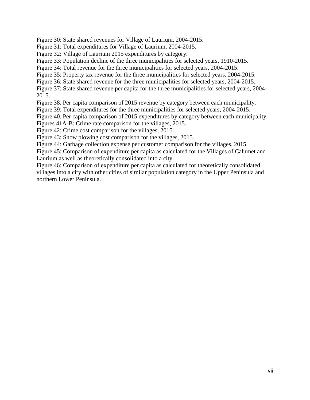Figure 30: State shared revenues for Village of Laurium, 2004-2015.

Figure 31: Total expenditures for Village of Laurium, 2004-2015.

Figure 32: Village of Laurium 2015 expenditures by category.

Figure 33: Population decline of the three municipalities for selected years, 1910-2015.

Figure 34: Total revenue for the three municipalities for selected years, 2004-2015.

Figure 35: Property tax revenue for the three municipalities for selected years, 2004-2015.

Figure 36: State shared revenue for the three municipalities for selected years, 2004-2015.

Figure 37: State shared revenue per capita for the three municipalities for selected years, 2004- 2015.

Figure 38. Per capita comparison of 2015 revenue by category between each municipality.

Figure 39: Total expenditures for the three municipalities for selected years, 2004-2015.

Figure 40. Per capita comparison of 2015 expenditures by category between each municipality.

Figures 41A-B: Crime rate comparison for the villages, 2015.

Figure 42: Crime cost comparison for the villages, 2015.

Figure 43: Snow plowing cost comparison for the villages, 2015.

Figure 44: Garbage collection expense per customer comparison for the villages, 2015.

Figure 45: Comparison of expenditure per capita as calculated for the Villages of Calumet and Laurium as well as theoretically consolidated into a city.

Figure 46: Comparison of expenditure per capita as calculated for theoretically consolidated villages into a city with other cities of similar population category in the Upper Peninsula and northern Lower Peninsula.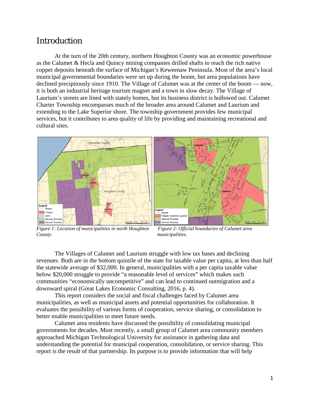# Introduction

At the turn of the 20th century, northern Houghton County was an economic powerhouse as the Calumet & Hecla and Quincy mining companies drilled shafts to reach the rich native copper deposits beneath the surface of Michigan's Keweenaw Peninsula. Most of the area's local municipal governmental boundaries were set up during the boom, but area populations have declined precipitously since 1910. The Village of Calumet was at the center of the boom — now, it is both an industrial heritage tourism magnet and a town in slow decay. The Village of Laurium's streets are lined with stately homes, but its business district is hollowed out. Calumet Charter Township encompasses much of the broader area around Calumet and Laurium and extending to the Lake Superior shore. The township government provides few municipal services, but it contributes to area quality of life by providing and maintaining recreational and cultural sites.





*Figure 1: Location of municipalities in north Houghton Figure 2: Official boundaries of Calumet area County. municipalities.*

The Villages of Calumet and Laurium struggle with low tax bases and declining revenues. Both are in the bottom quintile of the state for taxable value per capita, at less than half the statewide average of \$32,000. In general, municipalities with a per capita taxable value below \$20,000 struggle to provide "a reasonable level of services" which makes such communities "economically uncompetitive" and can lead to continued outmigration and a downward spiral (Great Lakes Economic Consulting, 2016, p. 4).

This report considers the social and fiscal challenges faced by Calumet area municipalities, as well as municipal assets and potential opportunities for collaboration. It evaluates the possibility of various forms of cooperation, service sharing, or consolidation to better enable municipalities to meet future needs.

Calumet area residents have discussed the possibility of consolidating municipal governments for decades. Most recently, a small group of Calumet area community members approached Michigan Technological University for assistance in gathering data and understanding the potential for municipal cooperation, consolidation, or service sharing. This report is the result of that partnership. Its purpose is to provide information that will help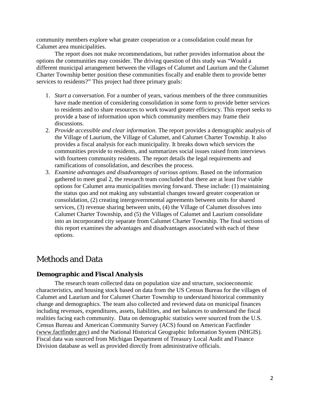community members explore what greater cooperation or a consolidation could mean for Calumet area municipalities.

The report does not make recommendations, but rather provides information about the options the communities may consider. The driving question of this study was "Would a different municipal arrangement between the villages of Calumet and Laurium and the Calumet Charter Township better position these communities fiscally and enable them to provide better services to residents?" This project had three primary goals:

- 1. *Start a conversation*. For a number of years, various members of the three communities have made mention of considering consolidation in some form to provide better services to residents and to share resources to work toward greater efficiency. This report seeks to provide a base of information upon which community members may frame their discussions.
- 2. *Provide accessible and clear information*. The report provides a demographic analysis of the Village of Laurium, the Village of Calumet, and Calumet Charter Township. It also provides a fiscal analysis for each municipality. It breaks down which services the communities provide to residents, and summarizes social issues raised from interviews with fourteen community residents. The report details the legal requirements and ramifications of consolidation, and describes the process.
- 3. *Examine advantages and disadvantages of various options*. Based on the information gathered to meet goal 2, the research team concluded that there are at least five viable options for Calumet area municipalities moving forward. These include: (1) maintaining the status quo and not making any substantial changes toward greater cooperation or consolidation, (2) creating intergovernmental agreements between units for shared services, (3) revenue sharing between units, (4) the Village of Calumet dissolves into Calumet Charter Township, and (5) the Villages of Calumet and Laurium consolidate into an incorporated city separate from Calumet Charter Township. The final sections of this report examines the advantages and disadvantages associated with each of these options.

# Methods and Data

## *Demographic and Fiscal Analysis*

The research team collected data on population size and structure, socioeconomic characteristics, and housing stock based on data from the US Census Bureau for the villages of Calumet and Laurium and for Calumet Charter Township to understand historical community change and demographics. The team also collected and reviewed data on municipal finances including revenues, expenditures, assets, liabilities, and net balances to understand the fiscal realities facing each community. Data on demographic statistics were sourced from the U.S. Census Bureau and American Community Survey (ACS) found on American Factfinder [\(www.factfinder.gov\)](http://www.factfinder.gov/) and the National Historical Geographic Information System (NHGIS). Fiscal data was sourced from Michigan Department of Treasury Local Audit and Finance Division database as well as provided directly from administrative officials.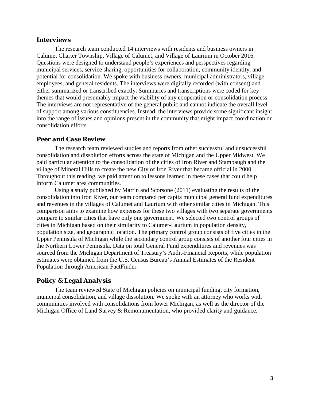## *Interviews*

The research team conducted 14 interviews with residents and business owners in Calumet Charter Township, Village of Calumet, and Village of Laurium in October 2016. Questions were designed to understand people's experiences and perspectives regarding municipal services, service sharing, opportunities for collaboration, community identity, and potential for consolidation. We spoke with business owners, municipal administrators, village employees, and general residents. The interviews were digitally recorded (with consent) and either summarized or transcribed exactly. Summaries and transcriptions were coded for key themes that would presumably impact the viability of any cooperation or consolidation process. The interviews are not representative of the general public and cannot indicate the overall level of support among various constituencies. Instead, the interviews provide some significant insight into the range of issues and opinions present in the community that might impact coordination or consolidation efforts.

#### *Peer and Case Review*

The research team reviewed studies and reports from other successful and unsuccessful consolidation and dissolution efforts across the state of Michigan and the Upper Midwest. We paid particular attention to the consolidation of the cities of Iron River and Stambaugh and the village of Mineral Hills to create the new City of Iron River that became official in 2000. Throughout this reading, we paid attention to lessons learned in these cases that could help inform Calumet area communities.

Using a study published by Martin and Scorsone (2011) evaluating the results of the consolidation into Iron River, our team compared per capita municipal general fund expenditures and revenues in the villages of Calumet and Laurium with other similar cities in Michigan. This comparison aims to examine how expenses for these two villages with two separate governments compare to similar cities that have only one government. We selected two control groups of cities in Michigan based on their similarity to Calumet-Laurium in population density, population size, and geographic location. The primary control group consists of five cities in the Upper Peninsula of Michigan while the secondary control group consists of another four cities in the Northern Lower Peninsula. Data on total General Fund expenditures and revenues was sourced from the Michigan Department of Treasury's Audit-Financial Reports, while population estimates were obtained from the U.S. Census Bureau's Annual Estimates of the Resident Population through American FactFinder.

## *Policy & Legal Analysis*

The team reviewed State of Michigan policies on municipal funding, city formation, municipal consolidation, and village dissolution. We spoke with an attorney who works with communities involved with consolidations from lower Michigan, as well as the director of the Michigan Office of Land Survey & Remonumentation, who provided clarity and guidance.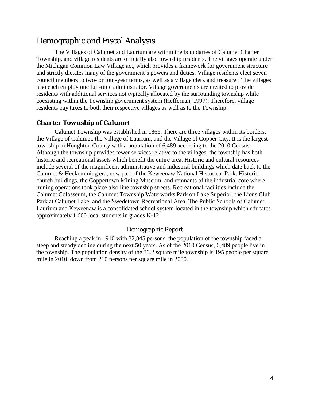# Demographic and Fiscal Analysis

The Villages of Calumet and Laurium are within the boundaries of Calumet Charter Township, and village residents are officially also township residents. The villages operate under the Michigan Common Law Village act, which provides a framework for government structure and strictly dictates many of the government's powers and duties. Village residents elect seven council members to two- or four-year terms, as well as a village clerk and treasurer. The villages also each employ one full-time administrator. Village governments are created to provide residents with additional services not typically allocated by the surrounding township while coexisting within the Township government system (Heffernan, 1997). Therefore, village residents pay taxes to both their respective villages as well as to the Township.

## *Charter Township of Calumet*

Calumet Township was established in 1866. There are three villages within its borders: the Village of Calumet, the Village of Laurium, and the Village of Copper City. It is the largest township in Houghton County with a population of 6,489 according to the 2010 Census. Although the township provides fewer services relative to the villages, the township has both historic and recreational assets which benefit the entire area. Historic and cultural resources include several of the magnificent administrative and industrial buildings which date back to the Calumet & Hecla mining era, now part of the Keweenaw National Historical Park. Historic church buildings, the Coppertown Mining Museum, and remnants of the industrial core where mining operations took place also line township streets. Recreational facilities include the Calumet Colosseum, the Calumet Township Waterworks Park on Lake Superior, the Lions Club Park at Calumet Lake, and the Swedetown Recreational Area. The Public Schools of Calumet, Laurium and Keweenaw is a consolidated school system located in the township which educates approximately 1,600 local students in grades K-12.

### Demographic Report

Reaching a peak in 1910 with 32,845 persons, the population of the township faced a steep and steady decline during the next 50 years. As of the 2010 Census, 6,489 people live in the township. The population density of the 33.2 square mile township is 195 people per square mile in 2010, down from 210 persons per square mile in 2000.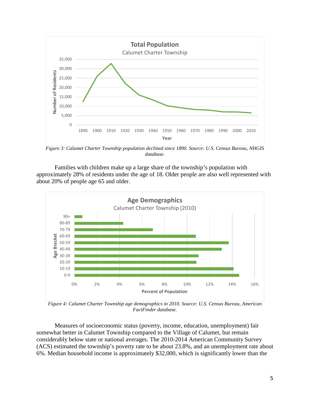

*Figure 3: Calumet Charter Township population declined since 1890. Source: U.S. Census Bureau, NHGIS database.*

Families with children make up a large share of the township's population with approximately 28% of residents under the age of 18. Older people are also well represented with about 20% of people age 65 and older.



*Figure 4: Calumet Charter Township age demographics in 2010. Source: U.S. Census Bureau, American FactFinder database.*

Measures of socioeconomic status (poverty, income, education, unemployment) fair somewhat better in Calumet Township compared to the Village of Calumet, but remain considerably below state or national averages. The 2010-2014 American Community Survey (ACS) estimated the township's poverty rate to be about 23.8%, and an unemployment rate about 6%. Median household income is approximately \$32,000, which is significantly lower than the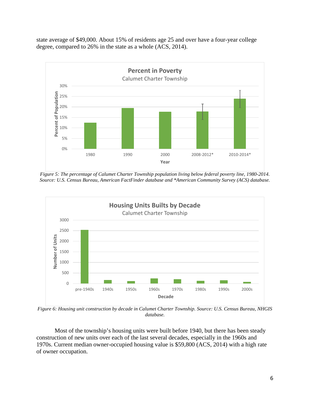state average of \$49,000. About 15% of residents age 25 and over have a four-year college degree, compared to 26% in the state as a whole (ACS, 2014).



*Figure 5: The percentage of Calumet Charter Township population living below federal poverty line, 1980-2014. Source: U.S. Census Bureau, American FactFinder database and \*American Community Survey (ACS) database.*



*Figure 6: Housing unit construction by decade in Calumet Charter Township. Source: U.S. Census Bureau, NHGIS database.*

Most of the township's housing units were built before 1940, but there has been steady construction of new units over each of the last several decades, especially in the 1960s and 1970s. Current median owner-occupied housing value is \$59,800 (ACS, 2014) with a high rate of owner occupation.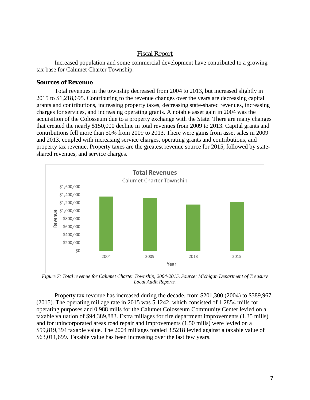## Fiscal Report

Increased population and some commercial development have contributed to a growing tax base for Calumet Charter Township.

#### *Sources of Revenue*

Total revenues in the township decreased from 2004 to 2013, but increased slightly in 2015 to \$1,218,695. Contributing to the revenue changes over the years are decreasing capital grants and contributions, increasing property taxes, decreasing state-shared revenues, increasing charges for services, and increasing operating grants. A notable asset gain in 2004 was the acquisition of the Colosseum due to a property exchange with the State. There are many changes that created the nearly \$150,000 decline in total revenues from 2009 to 2013. Capital grants and contributions fell more than 50% from 2009 to 2013. There were gains from asset sales in 2009 and 2013, coupled with increasing service charges, operating grants and contributions, and property tax revenue. Property taxes are the greatest revenue source for 2015, followed by stateshared revenues, and service charges.



*Figure 7: Total revenue for Calumet Charter Township, 2004-2015. Source: Michigan Department of Treasury Local Audit Reports.*

Property tax revenue has increased during the decade, from \$201,300 (2004) to \$389,967 (2015). The operating millage rate in 2015 was 5.1242, which consisted of 1.2854 mills for operating purposes and 0.988 mills for the Calumet Colosseum Community Center levied on a taxable valuation of \$94,389,883. Extra millages for fire department improvements (1.35 mills) and for unincorporated areas road repair and improvements (1.50 mills) were levied on a \$59,819,394 taxable value. The 2004 millages totaled 3.5218 levied against a taxable value of \$63,011,699. Taxable value has been increasing over the last few years.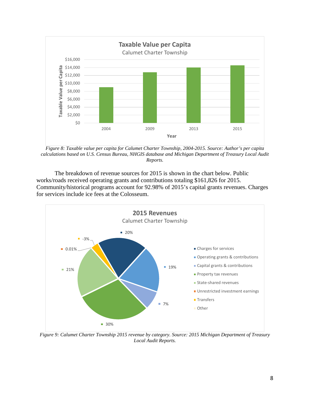

*Figure 8: Taxable value per capita for Calumet Charter Township, 2004-2015. Source: Author's per capita calculations based on U.S. Census Bureau, NHGIS database and Michigan Department of Treasury Local Audit Reports.*

The breakdown of revenue sources for 2015 is shown in the chart below. Public works/roads received operating grants and contributions totaling \$161,826 for 2015. Community/historical programs account for 92.98% of 2015's capital grants revenues. Charges for services include ice fees at the Colosseum.



*Figure 9: Calumet Charter Township 2015 revenue by category. Source: 2015 Michigan Department of Treasury Local Audit Reports.*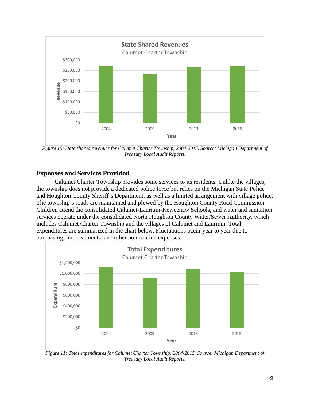

*Figure 10: State shared revenues for Calumet Charter Township, 2004-2015. Source: Michigan Department of Treasury Local Audit Reports.*

## *Expenses and Services Provided*

Calumet Charter Township provides some services to its residents. Unlike the villages, the township does not provide a dedicated police force but relies on the Michigan State Police and Houghton County Sheriff's Department, as well as a limited arrangement with village police. The township's roads are maintained and plowed by the Houghton County Road Commission. Children attend the consolidated Calumet-Laurium-Keweenaw Schools, and water and sanitation services operate under the consolidated North Houghton County Water/Sewer Authority, which includes Calumet Charter Township and the villages of Calumet and Laurium. Total expenditures are summarized in the chart below. Fluctuations occur year to year due to purchasing, improvements, and other non-routine expenses



*Figure 11: Total expenditures for Calumet Charter Township, 2004-2015. Source: Michigan Department of Treasury Local Audit Reports.*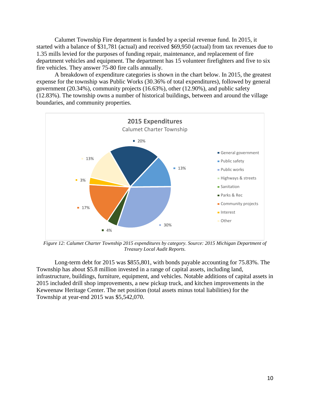Calumet Township Fire department is funded by a special revenue fund. In 2015, it started with a balance of \$31,781 (actual) and received \$69,950 (actual) from tax revenues due to 1.35 mills levied for the purposes of funding repair, maintenance, and replacement of fire department vehicles and equipment. The department has 15 volunteer firefighters and five to six fire vehicles. They answer 75-80 fire calls annually.

A breakdown of expenditure categories is shown in the chart below. In 2015, the greatest expense for the township was Public Works (30.36% of total expenditures), followed by general government (20.34%), community projects (16.63%), other (12.90%), and public safety (12.83%). The township owns a number of historical buildings, between and around the village boundaries, and community properties.



*Figure 12: Calumet Charter Township 2015 expenditures by category. Source: 2015 Michigan Department of Treasury Local Audit Reports.*

Long-term debt for 2015 was \$855,801, with bonds payable accounting for 75.83%. The Township has about \$5.8 million invested in a range of capital assets, including land, infrastructure, buildings, furniture, equipment, and vehicles. Notable additions of capital assets in 2015 included drill shop improvements, a new pickup truck, and kitchen improvements in the Keweenaw Heritage Center. The net position (total assets minus total liabilities) for the Township at year-end 2015 was \$5,542,070.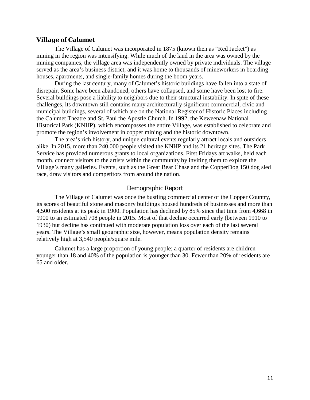#### *Village of Calumet*

The Village of Calumet was incorporated in 1875 (known then as "Red Jacket") as mining in the region was intensifying. While much of the land in the area was owned by the mining companies, the village area was independently owned by private individuals. The village served as the area's business district, and it was home to thousands of mineworkers in boarding houses, apartments, and single-family homes during the boom years.

During the last century, many of Calumet's historic buildings have fallen into a state of disrepair. Some have been abandoned, others have collapsed, and some have been lost to fire. Several buildings pose a liability to neighbors due to their structural instability. In spite of these challenges, its downtown still contains many architecturally significant commercial, civic and municipal buildings, several of which are on the National Register of Historic Places including the Calumet Theatre and St. Paul the Apostle Church. In 1992, the Keweenaw National Historical Park (KNHP), which encompasses the entire Village, was established to celebrate and promote the region's involvement in copper mining and the historic downtown.

The area's rich history, and unique cultural events regularly attract locals and outsiders alike. In 2015, more than 240,000 people visited the KNHP and its 21 heritage sites. The Park Service has provided numerous grants to local organizations. First Fridays art walks, held each month, connect visitors to the artists within the community by inviting them to explore the Village's many galleries. Events, such as the Great Bear Chase and the CopperDog 150 dog sled race, draw visitors and competitors from around the nation.

#### Demographic Report

The Village of Calumet was once the bustling commercial center of the Copper Country, its scores of beautiful stone and masonry buildings housed hundreds of businesses and more than 4,500 residents at its peak in 1900. Population has declined by 85% since that time from 4,668 in 1900 to an estimated 708 people in 2015. Most of that decline occurred early (between 1910 to 1930) but decline has continued with moderate population loss over each of the last several years. The Village's small geographic size, however, means population density remains relatively high at 3,540 people/square mile.

Calumet has a large proportion of young people; a quarter of residents are children younger than 18 and 40% of the population is younger than 30. Fewer than 20% of residents are 65 and older.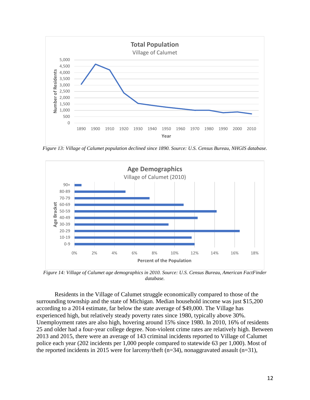

*Figure 13: Village of Calumet population declined since 1890. Source: U.S. Census Bureau, NHGIS database.*



*Figure 14: Village of Calumet age demographics in 2010. Source: U.S. Census Bureau, American FactFinder database.*

Residents in the Village of Calumet struggle economically compared to those of the surrounding township and the state of Michigan. Median household income was just \$15,200 according to a 2014 estimate, far below the state average of \$49,000. The Village has experienced high, but relatively steady poverty rates since 1980, typically above 30%. Unemployment rates are also high, hovering around 15% since 1980. In 2010, 16% of residents 25 and older had a four-year college degree. Non-violent crime rates are relatively high. Between 2013 and 2015, there were an average of 143 criminal incidents reported to Village of Calumet police each year (202 incidents per 1,000 people compared to statewide 63 per 1,000). Most of the reported incidents in 2015 were for larceny/theft (n=34), nonaggravated assault (n=31),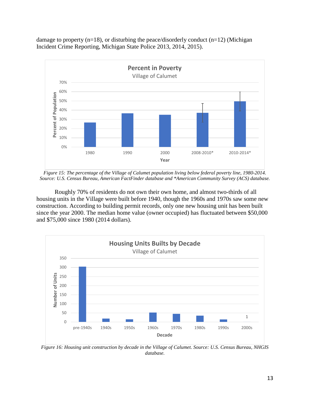damage to property  $(n=18)$ , or disturbing the peace/disorderly conduct  $(n=12)$  (Michigan Incident Crime Reporting, Michigan State Police 2013, 2014, 2015).



*Figure 15: The percentage of the Village of Calumet population living below federal poverty line, 1980-2014. Source: U.S. Census Bureau, American FactFinder database and \*American Community Survey (ACS) database.*

Roughly 70% of residents do not own their own home, and almost two-thirds of all housing units in the Village were built before 1940, though the 1960s and 1970s saw some new construction. According to building permit records, only one new housing unit has been built since the year 2000. The median home value (owner occupied) has fluctuated between \$50,000 and \$75,000 since 1980 (2014 dollars).



*Figure 16: Housing unit construction by decade in the Village of Calumet. Source: U.S. Census Bureau, NHGIS database.*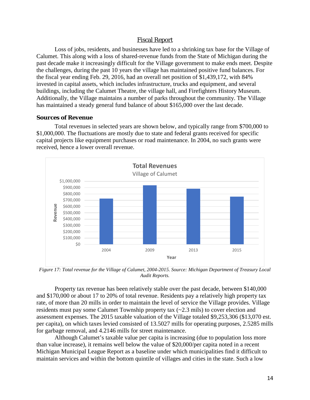## Fiscal Report

Loss of jobs, residents, and businesses have led to a shrinking tax base for the Village of Calumet. This along with a loss of shared-revenue funds from the State of Michigan during the past decade make it increasingly difficult for the Village government to make ends meet. Despite the challenges, during the past 10 years the village has maintained positive fund balances. For the fiscal year ending Feb. 29, 2016, had an overall net position of \$1,439,172, with 84% invested in capital assets, which includes infrastructure, trucks and equipment, and several buildings, including the Calumet Theatre, the village hall, and Firefighters History Museum. Additionally, the Village maintains a number of parks throughout the community. The Village has maintained a steady general fund balance of about \$165,000 over the last decade.

#### *Sources of Revenue*

Total revenues in selected years are shown below, and typically range from \$700,000 to \$1,000,000. The fluctuations are mostly due to state and federal grants received for specific capital projects like equipment purchases or road maintenance. In 2004, no such grants were received, hence a lower overall revenue.



*Figure 17: Total revenue for the Village of Calumet, 2004-2015. Source: Michigan Department of Treasury Local Audit Reports.*

Property tax revenue has been relatively stable over the past decade, between \$140,000 and \$170,000 or about 17 to 20% of total revenue. Residents pay a relatively high property tax rate, of more than 20 mills in order to maintain the level of service the Village provides. Village residents must pay some Calumet Township property tax (~2.3 mils) to cover election and assessment expenses. The 2015 taxable valuation of the Village totaled \$9,253,306 (\$13,070 est. per capita), on which taxes levied consisted of 13.5027 mills for operating purposes, 2.5285 mills for garbage removal, and 4.2146 mills for street maintenance.

Although Calumet's taxable value per capita is increasing (due to population loss more than value increase), it remains well below the value of \$20,000/per capita noted in a recent Michigan Municipal League Report as a baseline under which municipalities find it difficult to maintain services and within the bottom quintile of villages and cities in the state. Such a low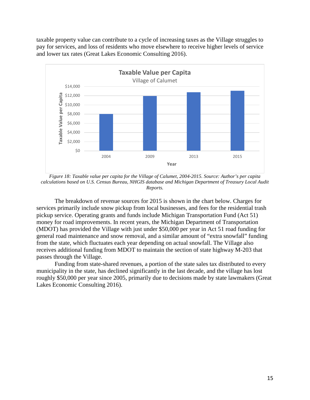taxable property value can contribute to a cycle of increasing taxes as the Village struggles to pay for services, and loss of residents who move elsewhere to receive higher levels of service and lower tax rates (Great Lakes Economic Consulting 2016).



*Figure 18: Taxable value per capita for the Village of Calumet, 2004-2015. Source: Author's per capita calculations based on U.S. Census Bureau, NHGIS database and Michigan Department of Treasury Local Audit Reports.*

The breakdown of revenue sources for 2015 is shown in the chart below. Charges for services primarily include snow pickup from local businesses, and fees for the residential trash pickup service. Operating grants and funds include Michigan Transportation Fund (Act 51) money for road improvements. In recent years, the Michigan Department of Transportation (MDOT) has provided the Village with just under \$50,000 per year in Act 51 road funding for general road maintenance and snow removal, and a similar amount of "extra snowfall" funding from the state, which fluctuates each year depending on actual snowfall. The Village also receives additional funding from MDOT to maintain the section of state highway M-203 that passes through the Village.

Funding from state-shared revenues, a portion of the state sales tax distributed to every municipality in the state, has declined significantly in the last decade, and the village has lost roughly \$50,000 per year since 2005, primarily due to decisions made by state lawmakers (Great Lakes Economic Consulting 2016).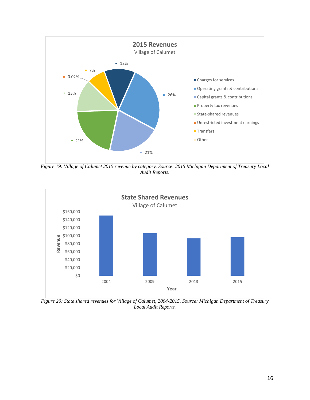

*Figure 19: Village of Calumet 2015 revenue by category. Source: 2015 Michigan Department of Treasury Local Audit Reports.*



*Figure 20: State shared revenues for Village of Calumet, 2004-2015. Source: Michigan Department of Treasury Local Audit Reports.*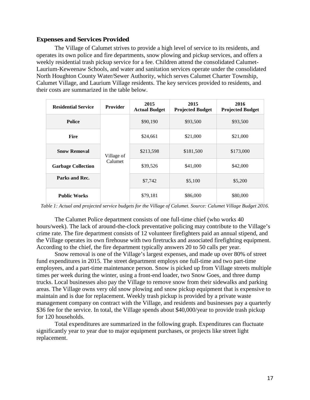### *Expenses and Services Provided*

The Village of Calumet strives to provide a high level of service to its residents, and operates its own police and fire departments, snow plowing and pickup services, and offers a weekly residential trash pickup service for a fee. Children attend the consolidated Calumet-Laurium-Keweenaw Schools, and water and sanitation services operate under the consolidated North Houghton County Water/Sewer Authority, which serves Calumet Charter Township, Calumet Village, and Laurium Village residents. The key services provided to residents, and their costs are summarized in the table below.

| <b>Residential Service</b> | <b>Provider</b> | 2015<br><b>Actual Budget</b> | 2015<br><b>Projected Budget</b> | 2016<br><b>Projected Budget</b> |
|----------------------------|-----------------|------------------------------|---------------------------------|---------------------------------|
| <b>Police</b>              |                 | \$90,190                     | \$93,500                        | \$93,500                        |
| <b>Fire</b>                |                 | \$24,661                     | \$21,000                        | \$21,000                        |
| <b>Snow Removal</b>        | Village of      | \$213,598                    | \$181,500                       | \$173,000                       |
| <b>Garbage Collection</b>  | Calumet         | \$39,526                     | \$41,000                        | \$42,000                        |
| Parks and Rec.             |                 | \$7,742                      | \$5,100                         | \$5,200                         |
| <b>Public Works</b>        |                 | \$79,181                     | \$86,000                        | \$80,000                        |

*Table 1: Actual and projected service budgets for the Village of Calumet. Source: Calumet Village Budget 2016.*

The Calumet Police department consists of one full-time chief (who works 40 hours/week). The lack of around-the-clock preventative policing may contribute to the Village's crime rate. The fire department consists of 12 volunteer firefighters paid an annual stipend, and the Village operates its own firehouse with two firetrucks and associated firefighting equipment. According to the chief, the fire department typically answers 20 to 50 calls per year.

Snow removal is one of the Village's largest expenses, and made up over 80% of street fund expenditures in 2015. The street department employs one full-time and two part-time employees, and a part-time maintenance person. Snow is picked up from Village streets multiple times per week during the winter, using a front-end loader, two Snow Goes, and three dump trucks. Local businesses also pay the Village to remove snow from their sidewalks and parking areas. The Village owns very old snow plowing and snow pickup equipment that is expensive to maintain and is due for replacement. Weekly trash pickup is provided by a private waste management company on contract with the Village, and residents and businesses pay a quarterly \$36 fee for the service. In total, the Village spends about \$40,000/year to provide trash pickup for 120 households.

Total expenditures are summarized in the following graph. Expenditures can fluctuate significantly year to year due to major equipment purchases, or projects like street light replacement.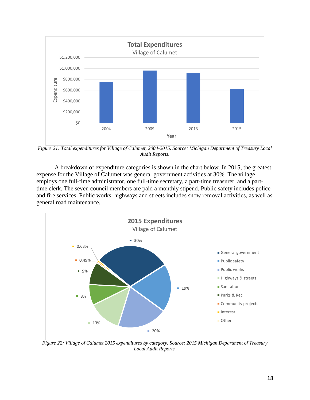

*Figure 21: Total expenditures for Village of Calumet, 2004-2015. Source: Michigan Department of Treasury Local Audit Reports.*

A breakdown of expenditure categories is shown in the chart below. In 2015, the greatest expense for the Village of Calumet was general government activities at 30%. The village employs one full-time administrator, one full-time secretary, a part-time treasurer, and a parttime clerk. The seven council members are paid a monthly stipend. Public safety includes police and fire services. Public works, highways and streets includes snow removal activities, as well as general road maintenance.



*Figure 22: Village of Calumet 2015 expenditures by category. Source: 2015 Michigan Department of Treasury Local Audit Reports.*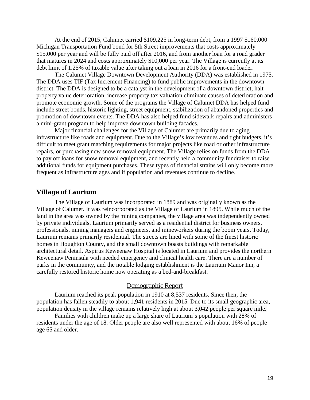At the end of 2015, Calumet carried \$109,225 in long-term debt, from a 1997 \$160,000 Michigan Transportation Fund bond for 5th Street improvements that costs approximately \$15,000 per year and will be fully paid off after 2016, and from another loan for a road grader that matures in 2024 and costs approximately \$10,000 per year. The Village is currently at its debt limit of 1.25% of taxable value after taking out a loan in 2016 for a front-end loader.

The Calumet Village Downtown Development Authority (DDA) was established in 1975. The DDA uses TIF (Tax Increment Financing) to fund public improvements in the downtown district. The DDA is designed to be a catalyst in the development of a downtown district, halt property value deterioration, increase property tax valuation eliminate causes of deterioration and promote economic growth. Some of the programs the Village of Calumet DDA has helped fund include street bonds, historic lighting, street equipment, stabilization of abandoned properties and promotion of downtown events. The DDA has also helped fund sidewalk repairs and administers a mini-grant program to help improve downtown building facades.

Major financial challenges for the Village of Calumet are primarily due to aging infrastructure like roads and equipment. Due to the Village's low revenues and tight budgets, it's difficult to meet grant matching requirements for major projects like road or other infrastructure repairs, or purchasing new snow removal equipment. The Village relies on funds from the DDA to pay off loans for snow removal equipment, and recently held a community fundraiser to raise additional funds for equipment purchases. These types of financial strains will only become more frequent as infrastructure ages and if population and revenues continue to decline.

#### *Village of Laurium*

The Village of Laurium was incorporated in 1889 and was originally known as the Village of Calumet. It was reincorporated as the Village of Laurium in 1895. While much of the land in the area was owned by the mining companies, the village area was independently owned by private individuals. Laurium primarily served as a residential district for business owners, professionals, mining managers and engineers, and mineworkers during the boom years. Today, Laurium remains primarily residential. The streets are lined with some of the finest historic homes in Houghton County, and the small downtown boasts buildings with remarkable architectural detail. Aspirus Keweenaw Hospital is located in Laurium and provides the northern Keweenaw Peninsula with needed emergency and clinical health care. There are a number of parks in the community, and the notable lodging establishment is the Laurium Manor Inn, a carefully restored historic home now operating as a bed-and-breakfast.

#### Demographic Report

Laurium reached its peak population in 1910 at 8,537 residents. Since then, the population has fallen steadily to about 1,941 residents in 2015. Due to its small geographic area, population density in the village remains relatively high at about 3,042 people per square mile.

Families with children make up a large share of Laurium's population with 28% of residents under the age of 18. Older people are also well represented with about 16% of people age 65 and older.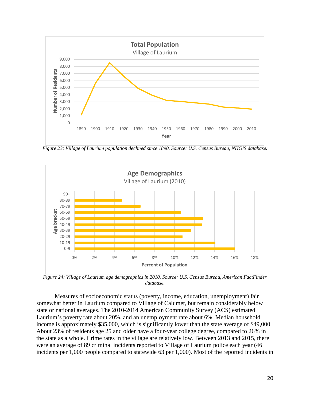

*Figure 23: Village of Laurium population declined since 1890. Source: U.S. Census Bureau, NHGIS database.*



*Figure 24: Village of Laurium age demographics in 2010. Source: U.S. Census Bureau, American FactFinder database.*

Measures of socioeconomic status (poverty, income, education, unemployment) fair somewhat better in Laurium compared to Village of Calumet, but remain considerably below state or national averages. The 2010-2014 American Community Survey (ACS) estimated Laurium's poverty rate about 20%, and an unemployment rate about 6%. Median household income is approximately \$35,000, which is significantly lower than the state average of \$49,000. About 23% of residents age 25 and older have a four-year college degree, compared to 26% in the state as a whole. Crime rates in the village are relatively low. Between 2013 and 2015, there were an average of 89 criminal incidents reported to Village of Laurium police each year (46 incidents per 1,000 people compared to statewide 63 per 1,000). Most of the reported incidents in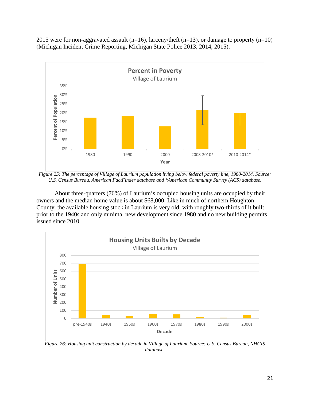2015 were for non-aggravated assault (n=16), larceny/theft (n=13), or damage to property (n=10) (Michigan Incident Crime Reporting, Michigan State Police 2013, 2014, 2015).



*Figure 25: The percentage of Village of Laurium population living below federal poverty line, 1980-2014. Source: U.S. Census Bureau, American FactFinder database and \*American Community Survey (ACS) database.*

About three-quarters (76%) of Laurium's occupied housing units are occupied by their owners and the median home value is about \$68,000. Like in much of northern Houghton County, the available housing stock in Laurium is very old, with roughly two-thirds of it built prior to the 1940s and only minimal new development since 1980 and no new building permits issued since 2010.



*Figure 26: Housing unit construction by decade in Village of Laurium. Source: U.S. Census Bureau, NHGIS database.*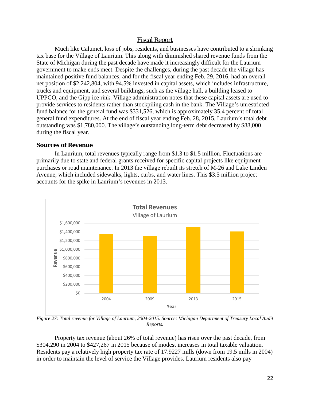## Fiscal Report

Much like Calumet, loss of jobs, residents, and businesses have contributed to a shrinking tax base for the Village of Laurium. This along with diminished shared revenue funds from the State of Michigan during the past decade have made it increasingly difficult for the Laurium government to make ends meet. Despite the challenges, during the past decade the village has maintained positive fund balances, and for the fiscal year ending Feb. 29, 2016, had an overall net position of \$2,242,804, with 94.5% invested in capital assets, which includes infrastructure, trucks and equipment, and several buildings, such as the village hall, a building leased to UPPCO, and the Gipp ice rink. Village administration notes that these capital assets are used to provide services to residents rather than stockpiling cash in the bank. The Village's unrestricted fund balance for the general fund was \$331,526, which is approximately 35.4 percent of total general fund expenditures. At the end of fiscal year ending Feb. 28, 2015, Laurium's total debt outstanding was \$1,780,000. The village's outstanding long-term debt decreased by \$88,000 during the fiscal year.

#### *Sources of Revenue*

In Laurium, total revenues typically range from \$1.3 to \$1.5 million. Fluctuations are primarily due to state and federal grants received for specific capital projects like equipment purchases or road maintenance. In 2013 the village rebuilt its stretch of M-26 and Lake Linden Avenue, which included sidewalks, lights, curbs, and water lines. This \$3.5 million project accounts for the spike in Laurium's revenues in 2013.



*Figure 27: Total revenue for Village of Laurium, 2004-2015. Source: Michigan Department of Treasury Local Audit Reports.*

Property tax revenue (about 26% of total revenue) has risen over the past decade, from \$304,290 in 2004 to \$427,267 in 2015 because of modest increases in total taxable valuation. Residents pay a relatively high property tax rate of 17.9227 mills (down from 19.5 mills in 2004) in order to maintain the level of service the Village provides. Laurium residents also pay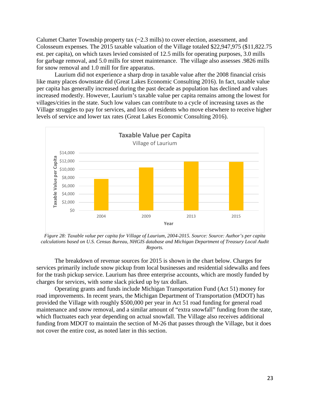Calumet Charter Township property tax  $(-2.3 \text{ mills})$  to cover election, assessment, and Colosseum expenses. The 2015 taxable valuation of the Village totaled \$22,947,975 (\$11,822.75 est. per capita), on which taxes levied consisted of 12.5 mills for operating purposes, 3.0 mills for garbage removal, and 5.0 mills for street maintenance. The village also assesses .9826 mills for snow removal and 1.0 mill for fire apparatus.

Laurium did not experience a sharp drop in taxable value after the 2008 financial crisis like many places downstate did (Great Lakes Economic Consulting 2016). In fact, taxable value per capita has generally increased during the past decade as population has declined and values increased modestly. However, Laurium's taxable value per capita remains among the lowest for villages/cities in the state. Such low values can contribute to a cycle of increasing taxes as the Village struggles to pay for services, and loss of residents who move elsewhere to receive higher levels of service and lower tax rates (Great Lakes Economic Consulting 2016).



*Figure 28: Taxable value per capita for Village of Laurium, 2004-2015. Source: Source: Author's per capita calculations based on U.S. Census Bureau, NHGIS database and Michigan Department of Treasury Local Audit Reports.*

The breakdown of revenue sources for 2015 is shown in the chart below. Charges for services primarily include snow pickup from local businesses and residential sidewalks and fees for the trash pickup service. Laurium has three enterprise accounts, which are mostly funded by charges for services, with some slack picked up by tax dollars.

Operating grants and funds include Michigan Transportation Fund (Act 51) money for road improvements. In recent years, the Michigan Department of Transportation (MDOT) has provided the Village with roughly \$500,000 per year in Act 51 road funding for general road maintenance and snow removal, and a similar amount of "extra snowfall" funding from the state, which fluctuates each year depending on actual snowfall. The Village also receives additional funding from MDOT to maintain the section of M-26 that passes through the Village, but it does not cover the entire cost, as noted later in this section.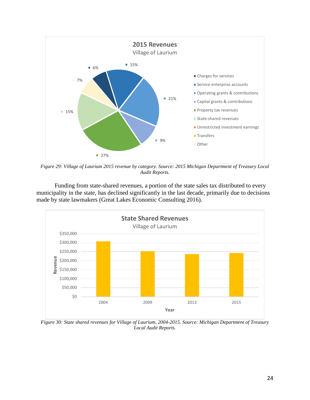

*Figure 29: Village of Laurium 2015 revenue by category. Source: 2015 Michigan Department of Treasury Local Audit Reports.*

Funding from state-shared revenues, a portion of the state sales tax distributed to every municipality in the state, has declined significantly in the last decade, primarily due to decisions made by state lawmakers (Great Lakes Economic Consulting 2016).



*Figure 30: State shared revenues for Village of Laurium, 2004-2015. Source: Michigan Department of Treasury Local Audit Reports.*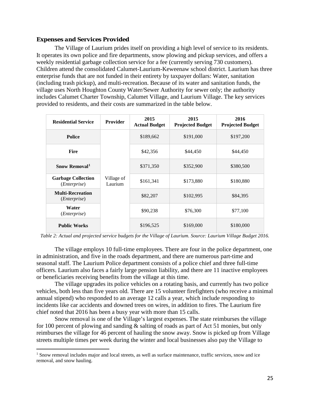## *Expenses and Services Provided*

The Village of Laurium prides itself on providing a high level of service to its residents. It operates its own police and fire departments, snow plowing and pickup services, and offers a weekly residential garbage collection service for a fee (currently serving 730 customers). Children attend the consolidated Calumet-Laurium-Keweenaw school district. Laurium has three enterprise funds that are not funded in their entirety by taxpayer dollars: Water, sanitation (including trash pickup), and multi-recreation. Because of its water and sanitation funds, the village uses North Houghton County Water/Sewer Authority for sewer only; the authority includes Calumet Charter Township, Calumet Village, and Laurium Village. The key services provided to residents, and their costs are summarized in the table below.

| <b>Residential Service</b>                         | <b>Provider</b>       | 2015<br><b>Actual Budget</b> | 2015<br><b>Projected Budget</b> | 2016<br><b>Projected Budget</b> |
|----------------------------------------------------|-----------------------|------------------------------|---------------------------------|---------------------------------|
| <b>Police</b>                                      |                       | \$189,662                    | \$191,000                       | \$197,200                       |
| <b>Fire</b>                                        |                       | \$42,356<br>\$44,450         |                                 | \$44,450                        |
| Snow Removal <sup>1</sup>                          |                       | \$371,350                    | \$352,900                       | \$380,500                       |
| <b>Garbage Collection</b><br>( <i>Enterprise</i> ) | Village of<br>Laurium | \$161,341                    | \$173,880                       | \$180,880                       |
| <b>Multi-Recreation</b><br>( <i>Enterprise</i> )   |                       | \$82,207                     | \$102,995                       | \$84,395                        |
| Water<br>( <i>Enterprise</i> )                     |                       | \$90,238                     | \$76,300                        | \$77,100                        |
| <b>Public Works</b>                                |                       | \$196,525                    | \$169,000                       | \$180,000                       |

*Table 2: Actual and projected service budgets for the Village of Laurium. Source: Laurium Village Budget 2016.*

The village employs 10 full-time employees. There are four in the police department, one in administration, and five in the roads department, and there are numerous part-time and seasonal staff. The Laurium Police department consists of a police chief and three full-time officers. Laurium also faces a fairly large pension liability, and there are 11 inactive employees or beneficiaries receiving benefits from the village at this time.

The village upgrades its police vehicles on a rotating basis, and currently has two police vehicles, both less than five years old. There are 15 volunteer firefighters (who receive a minimal annual stipend) who responded to an average 12 calls a year, which include responding to incidents like car accidents and downed trees on wires, in addition to fires. The Laurium fire chief noted that 2016 has been a busy year with more than 15 calls.

Snow removal is one of the Village's largest expenses. The state reimburses the village for 100 percent of plowing and sanding & salting of roads as part of Act 51 monies, but only reimburses the village for 46 percent of hauling the snow away. Snow is picked up from Village streets multiple times per week during the winter and local businesses also pay the Village to

<span id="page-31-0"></span><sup>&</sup>lt;sup>1</sup> Snow removal includes major and local streets, as well as surface maintenance, traffic services, snow and ice removal, and snow hauling.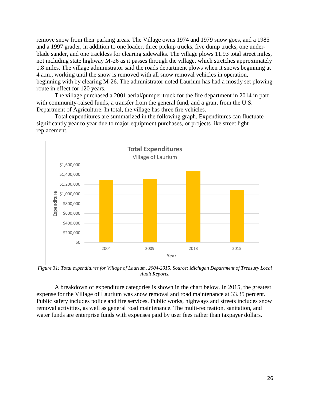remove snow from their parking areas. The Village owns 1974 and 1979 snow goes, and a 1985 and a 1997 grader, in addition to one loader, three pickup trucks, five dump trucks, one underblade sander, and one trackless for clearing sidewalks. The village plows 11.93 total street miles, not including state highway M-26 as it passes through the village, which stretches approximately 1.8 miles. The village administrator said the roads department plows when it snows beginning at 4 a.m., working until the snow is removed with all snow removal vehicles in operation, beginning with by clearing M-26. The administrator noted Laurium has had a mostly set plowing route in effect for 120 years.

The village purchased a 2001 aerial/pumper truck for the fire department in 2014 in part with community-raised funds, a transfer from the general fund, and a grant from the U.S. Department of Agriculture. In total, the village has three fire vehicles.

Total expenditures are summarized in the following graph. Expenditures can fluctuate significantly year to year due to major equipment purchases, or projects like street light replacement.



*Figure 31: Total expenditures for Village of Laurium, 2004-2015. Source: Michigan Department of Treasury Local Audit Reports.*

A breakdown of expenditure categories is shown in the chart below. In 2015, the greatest expense for the Village of Laurium was snow removal and road maintenance at 33.35 percent. Public safety includes police and fire services. Public works, highways and streets includes snow removal activities, as well as general road maintenance. The multi-recreation, sanitation, and water funds are enterprise funds with expenses paid by user fees rather than taxpayer dollars.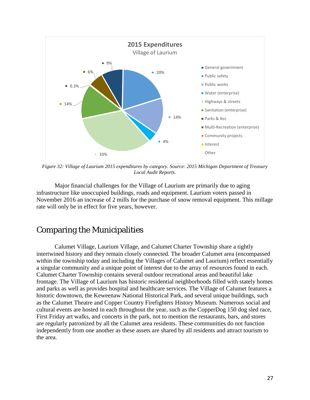

*Figure 32: Village of Laurium 2015 expenditures by category. Source: 2015 Michigan Department of Treasury Local Audit Reports.*

Major financial challenges for the Village of Laurium are primarily due to aging infrastructure like unoccupied buildings, roads and equipment. Laurium voters passed in November 2016 an increase of 2 mills for the purchase of snow removal equipment. This millage rate will only be in effect for five years, however.

# Comparing the Municipalities

Calumet Village, Laurium Village, and Calumet Charter Township share a tightly intertwined history and they remain closely connected. The broader Calumet area (encompassed within the township today and including the Villages of Calumet and Laurium) reflect essentially a singular community and a unique point of interest due to the array of resources found in each. Calumet Charter Township contains several outdoor recreational areas and beautiful lake frontage. The Village of Laurium has historic residential neighborhoods filled with stately homes and parks as well as provides hospital and healthcare services. The Village of Calumet features a historic downtown, the Keweenaw National Historical Park, and several unique buildings, such as the Calumet Theatre and Copper Country Firefighters History Museum. Numerous social and cultural events are hosted in each throughout the year, such as the CopperDog 150 dog sled race, First Friday art walks, and concerts in the park, not to mention the restaurants, bars, and stores are regularly patronized by all the Calumet area residents. These communities do not function independently from one another as these assets are shared by all residents and attract tourism to the area.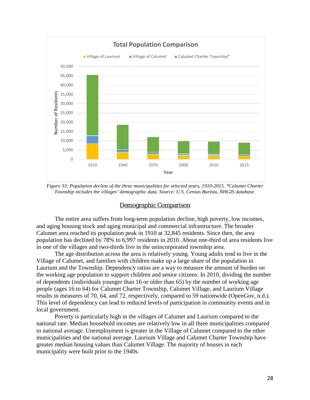

*Figure 33: Population decline of the three municipalities for selected years, 1910-2015. \*Calumet Charter Township includes the villages' demographic data. Source: U.S. Census Bureau, NHGIS database.*

#### Demographic Comparison

The entire area suffers from long-term population decline, high poverty, low incomes, and aging housing stock and aging municipal and commercial infrastructure. The broader Calumet area reached its population peak in 1910 at 32,845 residents. Since then, the area population has declined by 78% to 6,997 residents in 2010. About one-third of area residents live in one of the villages and two-thirds live in the unincorporated township area.

The age distribution across the area is relatively young. Young adults tend to live in the Village of Calumet, and families with children make up a large share of the population in Laurium and the Township. Dependency ratios are a way to measure the amount of burden on the working age population to support children and senior citizens. In 2010, dividing the number of dependents (individuals younger than 16 or older than 65) by the number of working age people (ages 16 to 64) for Calumet Charter Township, Calumet Village, and Laurium Village results in measures of 70, 64, and 72, respectively, compared to 59 nationwide (OpenGov, n.d.). This level of dependency can lead to reduced levels of participation in community events and in local government.

Poverty is particularly high in the villages of Calumet and Laurium compared to the national rate. Median household incomes are relatively low in all three municipalities compared to national average. Unemployment is greater in the Village of Calumet compared to the other municipalities and the national average. Laurium Village and Calumet Charter Township have greater median housing values than Calumet Village. The majority of houses in each municipality were built prior to the 1940s.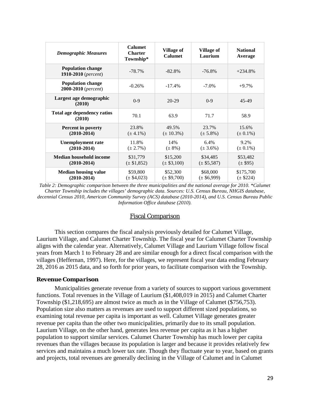| <b>Demographic Measures</b>                     | <b>Calumet</b><br><b>Charter</b><br>Township* | <b>Village of</b><br><b>Calumet</b> | <b>Village of</b><br>Laurium | <b>National</b><br>Average |
|-------------------------------------------------|-----------------------------------------------|-------------------------------------|------------------------------|----------------------------|
| <b>Population change</b><br>1910-2010 (percent) | $-78.7\%$                                     | $-82.8%$                            | $-76.8\%$                    | $+234.8%$                  |
| <b>Population change</b><br>2000-2010 (percent) | $-0.26%$                                      | $-17.4%$                            | $-7.0\%$                     | $+9.7\%$                   |
| Largest age demographic<br>(2010)               | $0-9$                                         | 20-29                               | $0 - 9$                      | 45-49                      |
| <b>Total age dependency ratios</b><br>(2010)    | 70.1                                          | 63.9                                | 71.7                         | 58.9                       |
| Percent in poverty<br>$(2010-2014)$             | 23.8%<br>$(\pm 4.1\%)$                        | 49.5%<br>$(\pm 10.3\%)$             | 23.7%<br>$(\pm 5.8\%)$       | 15.6%<br>$(\pm 0.1\%)$     |
| <b>Unemployment rate</b><br>$(2010-2014)$       | 11.8%<br>$(\pm 2.7\%)$                        | 14%<br>$(\pm 8\%)$                  | 6.4%<br>$(\pm 3.6\%)$        | 9.2%<br>$(\pm 0.1\%)$      |
| <b>Median household income</b><br>$(2010-2014)$ | \$31,779<br>$(\pm \$1,852)$                   | \$15,200<br>$(\pm \$3,100)$         | \$34,485<br>$(\pm \$5,587)$  | \$53,482<br>$(\pm \$95)$   |
| <b>Median housing value</b><br>$(2010-2014)$    | \$59,800<br>$(\pm \$4,023)$                   | \$52,300<br>$(\pm \$9,700)$         | \$68,000<br>$(\pm \$6,999)$  | \$175,700<br>$(\pm \$224)$ |

*Table 2: Demographic comparison between the three municipalities and the national average for 2010. \*Calumet Charter Township includes the villages' demographic data. Sources: U.S. Census Bureau, NHGIS database, decennial Census 2010, American Community Survey (ACS) database (2010-2014), and U.S. Census Bureau Public Information Office database (2010).*

#### Fiscal Comparison

This section compares the fiscal analysis previously detailed for Calumet Village, Laurium Village, and Calumet Charter Township. The fiscal year for Calumet Charter Township aligns with the calendar year. Alternatively, Calumet Village and Laurium Village follow fiscal years from March 1 to February 28 and are similar enough for a direct fiscal comparison with the villages (Heffernan, 1997). Here, for the villages, we represent fiscal year data ending February 28, 2016 as 2015 data, and so forth for prior years, to facilitate comparison with the Township.

#### *Revenue Comparison*

Municipalities generate revenue from a variety of sources to support various government functions. Total revenues in the Village of Laurium (\$1,408,019 in 2015) and Calumet Charter Township (\$1,218,695) are almost twice as much as in the Village of Calumet (\$756,753). Population size also matters as revenues are used to support different sized populations, so examining total revenue per capita is important as well. Calumet Village generates greater revenue per capita than the other two municipalities, primarily due to its small population. Laurium Village, on the other hand, generates less revenue per capita as it has a higher population to support similar services. Calumet Charter Township has much lower per capita revenues than the villages because its population is larger and because it provides relatively few services and maintains a much lower tax rate. Though they fluctuate year to year, based on grants and projects, total revenues are generally declining in the Village of Calumet and in Calumet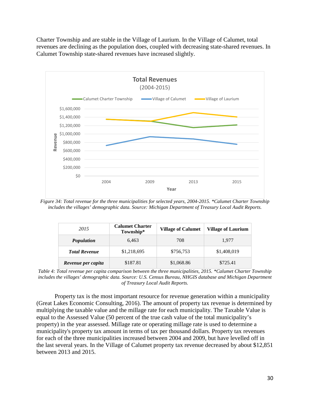Charter Township and are stable in the Village of Laurium. In the Village of Calumet, total revenues are declining as the population does, coupled with decreasing state-shared revenues. In Calumet Township state-shared revenues have increased slightly.



*Figure 34: Total revenue for the three municipalities for selected years, 2004-2015. \*Calumet Charter Township includes the villages' demographic data. Source: Michigan Department of Treasury Local Audit Reports.*

| 2015                 | <b>Calumet Charter</b><br>Township* | <b>Village of Calumet</b> | Village of Laurium |
|----------------------|-------------------------------------|---------------------------|--------------------|
| <b>Population</b>    | 6.463                               | 708                       | 1.977              |
| <b>Total Revenue</b> | \$1,218,695                         | \$756,753                 | \$1,408,019        |
| Revenue per capita   | \$187.81                            | \$1,068.86                | \$725.41           |

*Table 4: Total revenue per capita comparison between the three municipalities, 2015. \*Calumet Charter Township includes the villages' demographic data. Source: U.S. Census Bureau, NHGIS database and Michigan Department of Treasury Local Audit Reports.*

Property tax is the most important resource for revenue generation within a municipality (Great Lakes Economic Consulting, 2016). The amount of property tax revenue is determined by multiplying the taxable value and the millage rate for each municipality. The Taxable Value is equal to the Assessed Value (50 percent of the true cash value of the total municipality's property) in the year assessed. Millage rate or operating millage rate is used to determine a municipality's property tax amount in terms of tax per thousand dollars. Property tax revenues for each of the three municipalities increased between 2004 and 2009, but have levelled off in the last several years. In the Village of Calumet property tax revenue decreased by about \$12,851 between 2013 and 2015.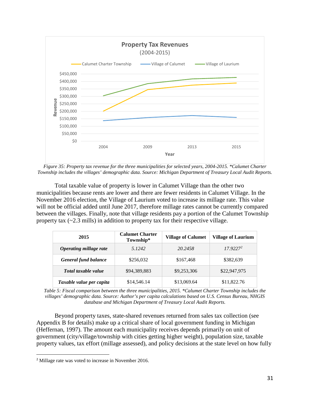

*Figure 35: Property tax revenue for the three municipalities for selected years, 2004-2015. \*Calumet Charter Township includes the villages' demographic data. Source: Michigan Department of Treasury Local Audit Reports.*

Total taxable value of property is lower in Calumet Village than the other two municipalities because rents are lower and there are fewer residents in Calumet Village. In the November 2016 election, the Village of Laurium voted to increase its millage rate. This value will not be official added until June 2017, therefore millage rates cannot be currently compared between the villages. Finally, note that village residents pay a portion of the Calumet Township property tax  $\left(\sim 2.3 \text{ mills}\right)$  in addition to property tax for their respective village.

| 2015                        | <b>Calumet Charter</b><br>Township* | <b>Village of Calumet</b> | <b>Village of Laurium</b> |  |
|-----------------------------|-------------------------------------|---------------------------|---------------------------|--|
| Operating millage rate      | 5.1242                              | 20.2458                   | $17.9227^2$               |  |
| <b>General fund balance</b> | \$256,032                           | \$167,468                 | \$382,639                 |  |
| Total taxable value         | \$94,389,883                        |                           | \$22,947,975              |  |
| Taxable value per capita    | \$14,546.14                         | \$13,069.64               | \$11,822.76               |  |

*Table 5: Fiscal comparison between the three municipalities, 2015. \*Calumet Charter Township includes the villages' demographic data. Source: Author's per capita calculations based on U.S. Census Bureau, NHGIS database and Michigan Department of Treasury Local Audit Reports.*

Beyond property taxes, state-shared revenues returned from sales tax collection (see Appendix B for details) make up a critical share of local government funding in Michigan (Heffernan, 1997). The amount each municipality receives depends primarily on unit of government (city/village/township with cities getting higher weight), population size, taxable property values, tax effort (millage assessed), and policy decisions at the state level on how fully

 $\overline{a}$ 

<span id="page-37-0"></span><sup>2</sup> Millage rate was voted to increase in November 2016.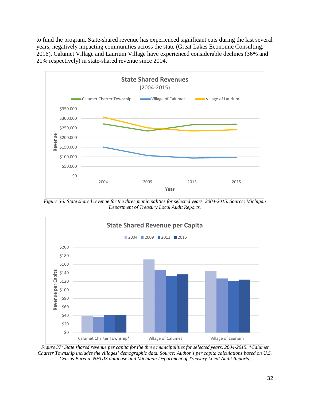to fund the program. State-shared revenue has experienced significant cuts during the last several years, negatively impacting communities across the state (Great Lakes Economic Consulting, 2016). Calumet Village and Laurium Village have experienced considerable declines (36% and 21% respectively) in state-shared revenue since 2004.



*Figure 36: State shared revenue for the three municipalities for selected years, 2004-2015. Source: Michigan Department of Treasury Local Audit Reports.*



*Figure 37: State shared revenue per capita for the three municipalities for selected years, 2004-2015. \*Calumet Charter Township includes the villages' demographic data. Source: Author's per capita calculations based on U.S. Census Bureau, NHGIS database and Michigan Department of Treasury Local Audit Reports.*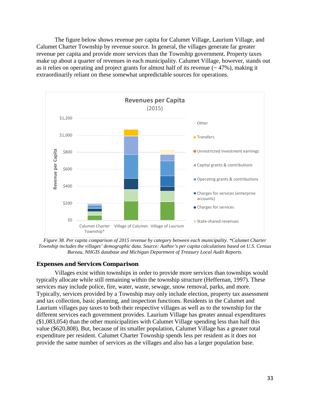The figure below shows revenue per capita for Calumet Village, Laurium Village, and Calumet Charter Township by revenue source. In general, the villages generate far greater revenue per capita and provide more services than the Township government. Property taxes make up about a quarter of revenues in each municipality. Calumet Village, however, stands out as it relies on operating and project grants for almost half of its revenue  $($   $\sim$  47%), making it extraordinarily reliant on these somewhat unpredictable sources for operations.



*Figure 38. Per capita comparison of 2015 revenue by category between each municipality. \*Calumet Charter Township includes the villages' demographic data. Source: Author's per capita calculations based on U.S. Census Bureau, NHGIS database and Michigan Department of Treasury Local Audit Reports.*

#### *Expenses and Services Comparison*

Villages exist within townships in order to provide more services than townships would typically allocate while still remaining within the township structure (Heffernan, 1997). These services may include police, fire, water, waste, sewage, snow removal, parks, and more. Typically, services provided by a Township may only include election, property tax assessment and tax collection, basic planning, and inspection functions. Residents in the Calumet and Laurium villages pay taxes to both their respective villages as well as to the township for the different services each government provides. Laurium Village has greater annual expenditures (\$1,083,054) than the other municipalities with Calumet Village spending less than half this value (\$620,808). But, because of its smaller population, Calumet Village has a greater total expenditure per resident. Calumet Charter Township spends less per resident as it does not provide the same number of services as the villages and also has a larger population base.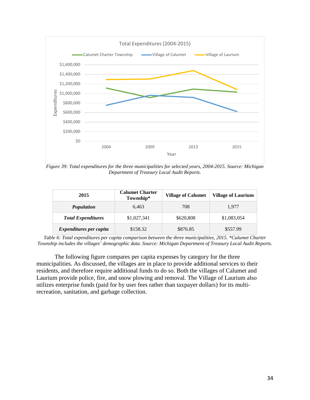

*Figure 39: Total expenditures for the three municipalities for selected years, 2004-2015. Source: Michigan Department of Treasury Local Audit Reports.*

| 2015                           | <b>Calumet Charter</b><br>Township* | <b>Village of Calumet</b> | <b>Village of Laurium</b> |  |
|--------------------------------|-------------------------------------|---------------------------|---------------------------|--|
| <b>Population</b>              | 6.463                               |                           | 1,977                     |  |
| <b>Total Expenditures</b>      | \$1,027,341                         |                           | \$1,083,054               |  |
| <i>Expenditures per capita</i> | \$158.32                            | \$876.85                  | \$557.99                  |  |

*Table 6: Total expenditures per capita comparison between the three municipalities, 2015. \*Calumet Charter Township includes the villages' demographic data. Source: Michigan Department of Treasury Local Audit Reports.*

The following figure compares per capita expenses by category for the three municipalities. As discussed, the villages are in place to provide additional services to their residents, and therefore require additional funds to do so. Both the villages of Calumet and Laurium provide police, fire, and snow plowing and removal. The Village of Laurium also utilizes enterprise funds (paid for by user fees rather than taxpayer dollars) for its multirecreation, sanitation, and garbage collection.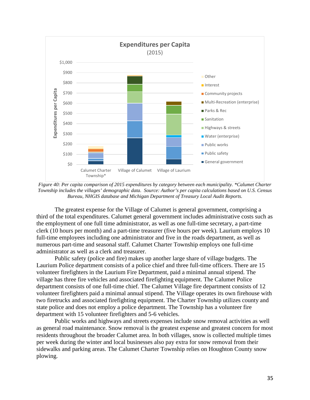

*Figure 40: Per capita comparison of 2015 expenditures by category between each municipality. \*Calumet Charter Township includes the villages' demographic data. Source: Author's per capita calculations based on U.S. Census Bureau, NHGIS database and Michigan Department of Treasury Local Audit Reports.*

The greatest expense for the Village of Calumet is general government, comprising a third of the total expenditures. Calumet general government includes administrative costs such as the employment of one full time administrator, as well as one full-time secretary, a part-time clerk (10 hours per month) and a part-time treasurer (five hours per week). Laurium employs 10 full-time employees including one administrator and five in the roads department, as well as numerous part-time and seasonal staff. Calumet Charter Township employs one full-time administrator as well as a clerk and treasurer.

Public safety (police and fire) makes up another large share of village budgets. The Laurium Police department consists of a police chief and three full-time officers. There are 15 volunteer firefighters in the Laurium Fire Department, paid a minimal annual stipend. The village has three fire vehicles and associated firefighting equipment. The Calumet Police department consists of one full-time chief. The Calumet Village fire department consists of 12 volunteer firefighters paid a minimal annual stipend. The Village operates its own firehouse with two firetrucks and associated firefighting equipment. The Charter Township utilizes county and state police and does not employ a police department. The Township has a volunteer fire department with 15 volunteer firefighters and 5-6 vehicles.

Public works and highways and streets expenses include snow removal activities as well as general road maintenance. Snow removal is the greatest expense and greatest concern for most residents throughout the broader Calumet area. In both villages, snow is collected multiple times per week during the winter and local businesses also pay extra for snow removal from their sidewalks and parking areas. The Calumet Charter Township relies on Houghton County snow plowing.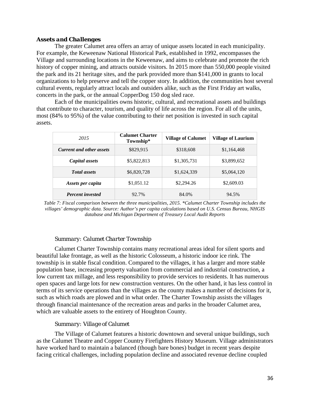#### *Assets and Challenges*

The greater Calumet area offers an array of unique assets located in each municipality. For example, the Keweenaw National Historical Park, established in 1992, encompasses the Village and surrounding locations in the Keweenaw, and aims to celebrate and promote the rich history of copper mining, and attracts outside visitors. In 2015 more than 550,000 people visited the park and its 21 heritage sites, and the park provided more than \$141,000 in grants to local organizations to help preserve and tell the copper story. In addition, the communities host several cultural events, regularly attract locals and outsiders alike, such as the First Friday art walks, concerts in the park, or the annual CopperDog 150 dog sled race.

Each of the municipalities owns historic, cultural, and recreational assets and buildings that contribute to character, tourism, and quality of life across the region. For all of the units, most (84% to 95%) of the value contributing to their net position is invested in such capital assets.

| 2015                               | <b>Calumet Charter</b><br>Township* | <b>Village of Calumet</b> | <b>Village of Laurium</b> |  |
|------------------------------------|-------------------------------------|---------------------------|---------------------------|--|
| <b>Current and other assets</b>    | \$829,915                           | \$318,608                 | \$1,164,468               |  |
| Capital assets                     | \$5,822,813<br>\$1,305,731          |                           | \$3,899,652               |  |
| \$6,820,728<br><b>Total assets</b> |                                     | \$1,624,339               | \$5,064,120               |  |
| \$1,051.12<br>Assets per capita    |                                     | \$2,294.26                | \$2,609.03                |  |
| <b>Percent</b> invested            | 92.7%                               | 84.0%                     | 94.5%                     |  |

*Table 7: Fiscal comparison between the three municipalities, 2015. \*Calumet Charter Township includes the villages' demographic data. Source: Author's per capita calculations based on U.S. Census Bureau, NHGIS database and Michigan Department of Treasury Local Audit Reports*

#### *Summary: Calumet Charter Township*

Calumet Charter Township contains many recreational areas ideal for silent sports and beautiful lake frontage, as well as the historic Colosseum, a historic indoor ice rink. The township is in stable fiscal condition. Compared to the villages, it has a larger and more stable population base, increasing property valuation from commercial and industrial construction, a low current tax millage, and less responsibility to provide services to residents. It has numerous open spaces and large lots for new construction ventures. On the other hand, it has less control in terms of its service operations than the villages as the county makes a number of decisions for it, such as which roads are plowed and in what order. The Charter Township assists the villages through financial maintenance of the recreation areas and parks in the broader Calumet area, which are valuable assets to the entirety of Houghton County.

#### *Summary: Village of Calumet*

The Village of Calumet features a historic downtown and several unique buildings, such as the Calumet Theatre and Copper Country Firefighters History Museum. Village administrators have worked hard to maintain a balanced (though bare bones) budget in recent years despite facing critical challenges, including population decline and associated revenue decline coupled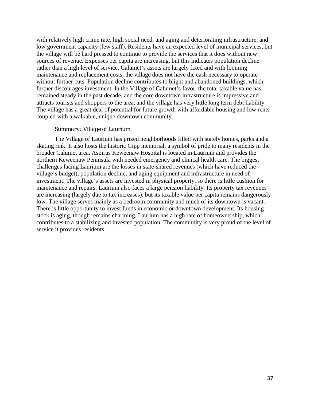with relatively high crime rate, high social need, and aging and deteriorating infrastructure, and low government capacity (few staff). Residents have an expected level of municipal services, but the village will be hard pressed to continue to provide the services that it does without new sources of revenue. Expenses per capita are increasing, but this indicates population decline rather than a high level of service. Calumet's assets are largely fixed and with looming maintenance and replacement costs, the village does not have the cash necessary to operate without further cuts. Population decline contributes to blight and abandoned buildings, which further discourages investment. In the Village of Calumet's favor, the total taxable value has remained steady in the past decade, and the core downtown infrastructure is impressive and attracts tourists and shoppers to the area, and the village has very little long term debt liability. The village has a great deal of potential for future growth with affordable housing and low rents coupled with a walkable, unique downtown community.

#### *Summary: Village of Laurium*

The Village of Laurium has prized neighborhoods filled with stately homes, parks and a skating rink. It also hosts the historic Gipp memorial, a symbol of pride to many residents in the broader Calumet area. Aspirus Keweenaw Hospital is located in Laurium and provides the northern Keweenaw Peninsula with needed emergency and clinical health care. The biggest challenges facing Laurium are the losses in state-shared revenues (which have reduced the village's budget), population decline, and aging equipment and infrastructure in need of investment. The village's assets are invested in physical property, so there is little cushion for maintenance and repairs. Laurium also faces a large pension liability. Its property tax revenues are increasing (largely due to tax increases), but its taxable value per capita remains dangerously low. The village serves mainly as a bedroom community and much of its downtown is vacant. There is little opportunity to invest funds in economic or downtown development. Its housing stock is aging, though remains charming. Laurium has a high rate of homeownership, which contributes to a stabilizing and invested population. The community is very proud of the level of service it provides residents.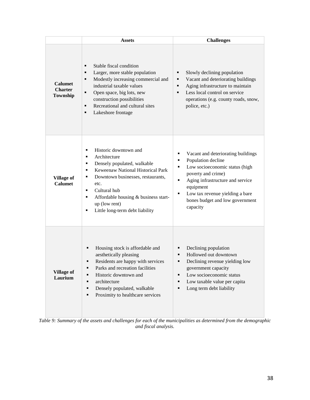|                                                     | <b>Assets</b>                                                                                                                                                                                                                                                                                              | <b>Challenges</b>                                                                                                                                                                                                                                                            |
|-----------------------------------------------------|------------------------------------------------------------------------------------------------------------------------------------------------------------------------------------------------------------------------------------------------------------------------------------------------------------|------------------------------------------------------------------------------------------------------------------------------------------------------------------------------------------------------------------------------------------------------------------------------|
| <b>Calumet</b><br><b>Charter</b><br><b>Township</b> | Stable fiscal condition<br>٠<br>Larger, more stable population<br>٠<br>Modestly increasing commercial and<br>٠<br>industrial taxable values<br>Ξ<br>Open space, big lots, new<br>construction possibilities<br>Recreational and cultural sites<br>٠<br>Lakeshore frontage<br>٠                             | Slowly declining population<br>Vacant and deteriorating buildings<br>٠<br>Aging infrastructure to maintain<br>٠<br>Less local control on service<br>$\blacksquare$<br>operations (e.g. county roads, snow,<br>police, etc.)                                                  |
| <b>Village of</b><br><b>Calumet</b>                 | Historic downtown and<br>٠<br>Architecture<br>٠<br>Densely populated, walkable<br>٠<br>Keweenaw National Historical Park<br>٠<br>Downtown businesses, restaurants,<br>٠<br>etc.<br>Cultural hub<br>٠<br>Affordable housing & business start-<br>٠<br>up (low rent)<br>Little long-term debt liability<br>٠ | Vacant and deteriorating buildings<br>п<br>Population decline<br>٠<br>Low socioeconomic status (high<br>Ξ<br>poverty and crime)<br>Aging infrastructure and service<br>Ξ<br>equipment<br>Low tax revenue yielding a bare<br>٠<br>bones budget and low government<br>capacity |
| <b>Village of</b><br>Laurium                        | Housing stock is affordable and<br>٠<br>aesthetically pleasing<br>Residents are happy with services<br>Parks and recreation facilities<br>٠<br>Historic downtown and<br>٠<br>architecture<br>٠<br>Densely populated, walkable<br>٠<br>Proximity to healthcare services<br>٠                                | Declining population<br>Hollowed out downtown<br>Declining revenue yielding low<br>government capacity<br>Low socioeconomic status<br>٠<br>Low taxable value per capita<br>٠<br>Long term debt liability                                                                     |

*Table 9: Summary of the assets and challenges for each of the municipalities as determined from the demographic and fiscal analysis.*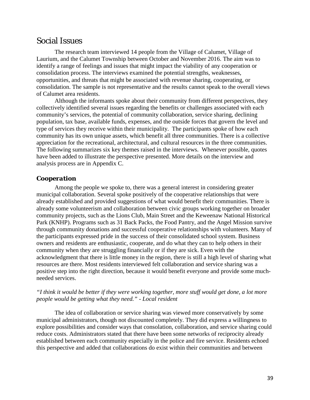## Social Issues

The research team interviewed 14 people from the Village of Calumet, Village of Laurium, and the Calumet Township between October and November 2016. The aim was to identify a range of feelings and issues that might impact the viability of any cooperation or consolidation process. The interviews examined the potential strengths, weaknesses, opportunities, and threats that might be associated with revenue sharing, cooperating, or consolidation. The sample is not representative and the results cannot speak to the overall views of Calumet area residents.

Although the informants spoke about their community from different perspectives, they collectively identified several issues regarding the benefits or challenges associated with each community's services, the potential of community collaboration, service sharing, declining population, tax base, available funds, expenses, and the outside forces that govern the level and type of services they receive within their municipality. The participants spoke of how each community has its own unique assets, which benefit all three communities. There is a collective appreciation for the recreational, architectural, and cultural resources in the three communities. The following summarizes six key themes raised in the interviews. Whenever possible, quotes have been added to illustrate the perspective presented. More details on the interview and analysis process are in Appendix C.

#### *Cooperation*

Among the people we spoke to, there was a general interest in considering greater municipal collaboration. Several spoke positively of the cooperative relationships that were already established and provided suggestions of what would benefit their communities. There is already some volunteerism and collaboration between civic groups working together on broader community projects, such as the Lions Club, Main Street and the Keweenaw National Historical Park (KNHP). Programs such as 31 Back Packs, the Food Pantry, and the Angel Mission survive through community donations and successful cooperative relationships with volunteers. Many of the participants expressed pride in the success of their consolidated school system. Business owners and residents are enthusiastic, cooperate, and do what they can to help others in their community when they are struggling financially or if they are sick. Even with the acknowledgment that there is little money in the region, there is still a high level of sharing what resources are there. Most residents interviewed felt collaboration and service sharing was a positive step into the right direction, because it would benefit everyone and provide some muchneeded services.

#### *"I think it would be better if they were working together, more stuff would get done, a lot more people would be getting what they need." - Local resident*

The idea of collaboration or service sharing was viewed more conservatively by some municipal administrators, though not discounted completely. They did express a willingness to explore possibilities and consider ways that consolation, collaboration, and service sharing could reduce costs. Administrators stated that there have been some networks of reciprocity already established between each community especially in the police and fire service. Residents echoed this perspective and added that collaborations do exist within their communities and between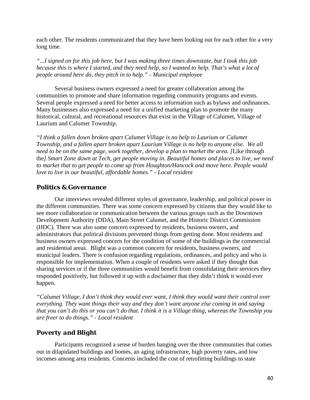each other. The residents communicated that they have been looking out for each other for a very long time.

*"...I signed on for this job here, but I was making three times downstate, but I took this job because this is where I started, and they need help, so I wanted to help. That's what a lot of people around here do, they pitch in to help." - Municipal employee*

Several business owners expressed a need for greater collaboration among the communities to promote and share information regarding community programs and events. Several people expressed a need for better access to information such as bylaws and ordinances. Many businesses also expressed a need for a unified marketing plan to promote the many historical, cultural, and recreational resources that exist in the Village of Calumet, Village of Laurium and Calumet Township.

*"I think a fallen down broken apart Calumet Village is no help to Laurium or Calumet Township, and a fallen apart broken apart Laurium Village is no help to anyone else. We all need to be on the same page, work together, develop a plan to market the area. [*Like through the*] Smart Zone down at Tech, get people moving in. Beautiful homes and places to live, we need to market that to get people to come up from Houghton/Hancock and move here. People would love to live in our beautiful, affordable homes." - Local resident*

#### *Politics & Governance*

Our interviews revealed different styles of governance, leadership, and political power in the different communities. There was some concern expressed by citizens that they would like to see more collaboration or communication between the various groups such as the Downtown Development Authority (DDA), Main Street Calumet, and the Historic District Commission (HDC). There was also some concern expressed by residents, business owners, and administrators that political divisions prevented things from getting done. Most residents and business owners expressed concern for the condition of some of the buildings in the commercial and residential areas. Blight was a common concern for residents, business owners, and municipal leaders. There is confusion regarding regulations, ordinances, and policy and who is responsible for implementation. When a couple of residents were asked if they thought that sharing services or if the three communities would benefit from consolidating their services they responded positively, but followed it up with a disclaimer that they didn't think it would ever happen.

*"Calumet Village, I don't think they would ever want, I think they would want their control over everything. They want things their way and they don't want anyone else coming in and saying that you can't do this or you can't do that. I think it is a Village thing, whereas the Township you are freer to do things." - Local resident*

### *Poverty and Blight*

Participants recognized a sense of burden hanging over the three communities that comes out in dilapidated buildings and homes, an aging infrastructure, high poverty rates, and low incomes among area residents. Concerns included the cost of retrofitting buildings to state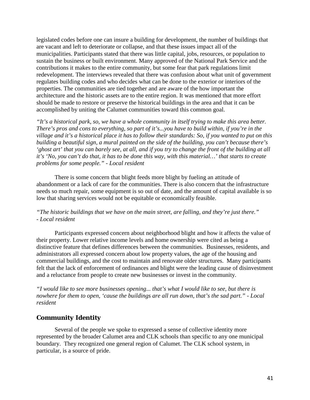legislated codes before one can insure a building for development, the number of buildings that are vacant and left to deteriorate or collapse, and that these issues impact all of the municipalities. Participants stated that there was little capital, jobs, resources, or population to sustain the business or built environment. Many approved of the National Park Service and the contributions it makes to the entire community, but some fear that park regulations limit redevelopment. The interviews revealed that there was confusion about what unit of government regulates building codes and who decides what can be done to the exterior or interiors of the properties. The communities are tied together and are aware of the how important the architecture and the historic assets are to the entire region. It was mentioned that more effort should be made to restore or preserve the historical buildings in the area and that it can be accomplished by uniting the Calumet communities toward this common goal.

*"It's a historical park, so, we have a whole community in itself trying to make this area better. There's pros and cons to everything, so part of it's...you have to build within, if you're in the village and it's a historical place it has to follow their standards: So, if you wanted to put on this building a beautiful sign, a mural painted on the side of the building, you can't because there's 'ghost art' that you can barely see, at all, and if you try to change the front of the building at all it's 'No, you can't do that, it has to be done this way, with this material…' that starts to create problems for some people." - Local resident* 

There is some concern that blight feeds more blight by fueling an attitude of abandonment or a lack of care for the communities. There is also concern that the infrastructure needs so much repair, some equipment is so out of date, and the amount of capital available is so low that sharing services would not be equitable or economically feasible.

#### *"The historic buildings that we have on the main street, are falling, and they're just there." - Local resident*

Participants expressed concern about neighborhood blight and how it affects the value of their property. Lower relative income levels and home ownership were cited as being a distinctive feature that defines differences between the communities. Businesses, residents, and administrators all expressed concern about low property values, the age of the housing and commercial buildings, and the cost to maintain and renovate older structures. Many participants felt that the lack of enforcement of ordinances and blight were the leading cause of disinvestment and a reluctance from people to create new businesses or invest in the community.

*"I would like to see more businesses opening... that's what I would like to see, but there is nowhere for them to open, 'cause the buildings are all run down, that's the sad part." - Local resident*

#### *Community Identity*

Several of the people we spoke to expressed a sense of collective identity more represented by the broader Calumet area and CLK schools than specific to any one municipal boundary. They recognized one general region of Calumet. The CLK school system, in particular, is a source of pride.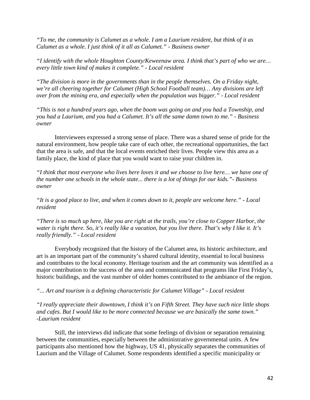*"To me, the community is Calumet as a whole. I am a Laurium resident, but think of it as Calumet as a whole. I just think of it all as Calumet." - Business owner*

*"I identify with the whole Houghton County/Keweenaw area. I think that's part of who we are… every little town kind of makes it complete." - Local resident*

*"The division is more in the governments than in the people themselves. On a Friday night, we're all cheering together for Calumet (High School Football team)… Any divisions are left over from the mining era, and especially when the population was bigger." - Local resident*

*"This is not a hundred years ago, when the boom was going on and you had a Township, and you had a Laurium, and you had a Calumet. It's all the same damn town to me." - Business owner*

Interviewees expressed a strong sense of place. There was a shared sense of pride for the natural environment, how people take care of each other, the recreational opportunities, the fact that the area is safe, and that the local events enriched their lives. People view this area as a family place, the kind of place that you would want to raise your children in.

*"I think that most everyone who lives here loves it and we choose to live here… we have one of the number one schools in the whole state... there is a lot of things for our kids."- Business owner*

*"It is a good place to live, and when it comes down to it, people are welcome here." - Local resident*

*"There is so much up here, like you are right at the trails, you're close to Copper Harbor, the water is right there. So, it's really like a vacation, but you live there. That's why I like it. It's really friendly." - Local resident*

Everybody recognized that the history of the Calumet area, its historic architecture, and art is an important part of the community's shared cultural identity, essential to local business and contributes to the local economy. Heritage tourism and the art community was identified as a major contribution to the success of the area and communicated that programs like First Friday's, historic buildings, and the vast number of older homes contributed to the ambiance of the region.

*"... Art and tourism is a defining characteristic for Calumet Village" - Local resident*

*"I really appreciate their downtown, I think it's on Fifth Street. They have such nice little shops and cafes. But I would like to be more connected because we are basically the same town." -Laurium resident*

Still, the interviews did indicate that some feelings of division or separation remaining between the communities, especially between the administrative governmental units. A few participants also mentioned how the highway, US 41, physically separates the communities of Laurium and the Village of Calumet. Some respondents identified a specific municipality or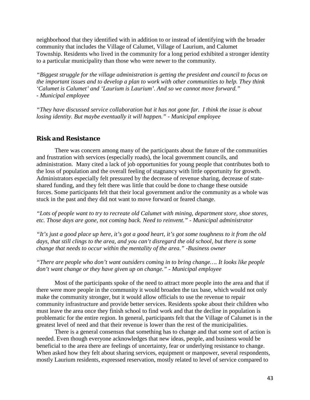neighborhood that they identified with in addition to or instead of identifying with the broader community that includes the Village of Calumet, Village of Laurium, and Calumet Township. Residents who lived in the community for a long period exhibited a stronger identity to a particular municipality than those who were newer to the community.

*"Biggest struggle for the village administration is getting the president and council to focus on the important issues and to develop a plan to work with other communities to help. They think 'Calumet is Calumet' and 'Laurium is Laurium'. And so we cannot move forward." - Municipal employee*

*"They have discussed service collaboration but it has not gone far. I think the issue is about losing identity. But maybe eventually it will happen." - Municipal employee*

#### *Risk and Resistance*

There was concern among many of the participants about the future of the communities and frustration with services (especially roads), the local government councils, and administration. Many cited a lack of job opportunities for young people that contributes both to the loss of population and the overall feeling of stagnancy with little opportunity for growth. Administrators especially felt pressured by the decrease of revenue sharing, decrease of stateshared funding, and they felt there was little that could be done to change these outside forces. Some participants felt that their local government and/or the community as a whole was stuck in the past and they did not want to move forward or feared change.

*"Lots of people want to try to recreate old Calumet with mining, department store, shoe stores, etc. Those days are gone, not coming back. Need to reinvent." - Municipal administrator*

*"It's just a good place up here, it's got a good heart, it's got some toughness to it from the old days, that still clings to the area, and you can't disregard the old school, but there is some change that needs to occur within the mentality of the area." -Business owner*

*"There are people who don't want outsiders coming in to bring change…. It looks like people don't want change or they have given up on change." - Municipal employee*

Most of the participants spoke of the need to attract more people into the area and that if there were more people in the community it would broaden the tax base, which would not only make the community stronger, but it would allow officials to use the revenue to repair community infrastructure and provide better services. Residents spoke about their children who must leave the area once they finish school to find work and that the decline in population is problematic for the entire region. In general, participants felt that the Village of Calumet is in the greatest level of need and that their revenue is lower than the rest of the municipalities.

There is a general consensus that something has to change and that some sort of action is needed. Even though everyone acknowledges that new ideas, people, and business would be beneficial to the area there are feelings of uncertainty, fear or underlying resistance to change. When asked how they felt about sharing services, equipment or manpower, several respondents, mostly Laurium residents, expressed reservation, mostly related to level of service compared to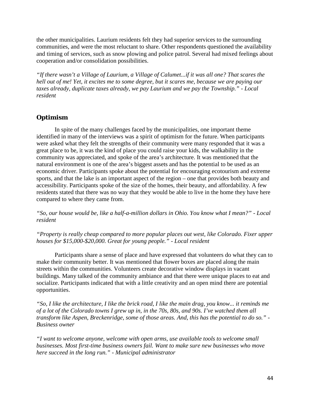the other municipalities. Laurium residents felt they had superior services to the surrounding communities, and were the most reluctant to share. Other respondents questioned the availability and timing of services, such as snow plowing and police patrol. Several had mixed feelings about cooperation and/or consolidation possibilities.

*"If there wasn't a Village of Laurium, a Village of Calumet...if it was all one? That scares the hell out of me! Yet, it excites me to some degree, but it scares me, because we are paying our taxes already, duplicate taxes already, we pay Laurium and we pay the Township." - Local resident*

## *Optimism*

In spite of the many challenges faced by the municipalities, one important theme identified in many of the interviews was a spirit of optimism for the future. When participants were asked what they felt the strengths of their community were many responded that it was a great place to be, it was the kind of place you could raise your kids, the walkability in the community was appreciated, and spoke of the area's architecture. It was mentioned that the natural environment is one of the area's biggest assets and has the potential to be used as an economic driver. Participants spoke about the potential for encouraging ecotourism and extreme sports, and that the lake is an important aspect of the region – one that provides both beauty and accessibility. Participants spoke of the size of the homes, their beauty, and affordability. A few residents stated that there was no way that they would be able to live in the home they have here compared to where they came from.

*"So, our house would be, like a half-a-million dollars in Ohio. You know what I mean?" - Local resident*

*"Property is really cheap compared to more popular places out west, like Colorado. Fixer upper houses for \$15,000-\$20,000. Great for young people." - Local resident*

Participants share a sense of place and have expressed that volunteers do what they can to make their community better. It was mentioned that flower boxes are placed along the main streets within the communities. Volunteers create decorative window displays in vacant buildings. Many talked of the community ambiance and that there were unique places to eat and socialize. Participants indicated that with a little creativity and an open mind there are potential opportunities.

*"So, I like the architecture, I like the brick road, I like the main drag, you know... it reminds me of a lot of the Colorado towns I grew up in, in the 70s, 80s, and 90s. I've watched them all transform like Aspen, Breckenridge, some of those areas. And, this has the potential to do so." - Business owner*

*"I want to welcome anyone, welcome with open arms, use available tools to welcome small businesses. Most first-time business owners fail. Want to make sure new businesses who move here succeed in the long run." - Municipal administrator*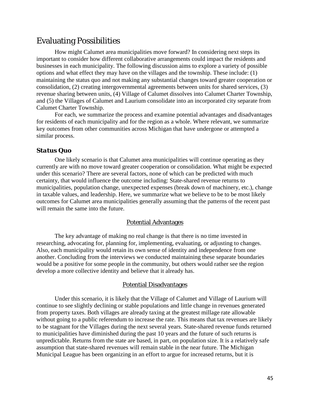# Evaluating Possibilities

How might Calumet area municipalities move forward? In considering next steps its important to consider how different collaborative arrangements could impact the residents and businesses in each municipality. The following discussion aims to explore a variety of possible options and what effect they may have on the villages and the township. These include: (1) maintaining the status quo and not making any substantial changes toward greater cooperation or consolidation, (2) creating intergovernmental agreements between units for shared services, (3) revenue sharing between units, (4) Village of Calumet dissolves into Calumet Charter Township, and (5) the Villages of Calumet and Laurium consolidate into an incorporated city separate from Calumet Charter Township.

For each, we summarize the process and examine potential advantages and disadvantages for residents of each municipality and for the region as a whole. Where relevant, we summarize key outcomes from other communities across Michigan that have undergone or attempted a similar process.

#### *Status Quo*

One likely scenario is that Calumet area municipalities will continue operating as they currently are with no move toward greater cooperation or consolidation. What might be expected under this scenario? There are several factors, none of which can be predicted with much certainty, that would influence the outcome including: State-shared revenue returns to municipalities, population change, unexpected expenses (break down of machinery, etc.), change in taxable values, and leadership. Here, we summarize what we believe to be to be most likely outcomes for Calumet area municipalities generally assuming that the patterns of the recent past will remain the same into the future.

#### Potential Advantages

The key advantage of making no real change is that there is no time invested in researching, advocating for, planning for, implementing, evaluating, or adjusting to changes. Also, each municipality would retain its own sense of identity and independence from one another. Concluding from the interviews we conducted maintaining these separate boundaries would be a positive for some people in the community, but others would rather see the region develop a more collective identity and believe that it already has.

#### Potential Disadvantages

Under this scenario, it is likely that the Village of Calumet and Village of Laurium will continue to see slightly declining or stable populations and little change in revenues generated from property taxes. Both villages are already taxing at the greatest millage rate allowable without going to a public referendum to increase the rate. This means that tax revenues are likely to be stagnant for the Villages during the next several years. State-shared revenue funds returned to municipalities have diminished during the past 10 years and the future of such returns is unpredictable. Returns from the state are based, in part, on population size. It is a relatively safe assumption that state-shared revenues will remain stable in the near future. The Michigan Municipal League has been organizing in an effort to argue for increased returns, but it is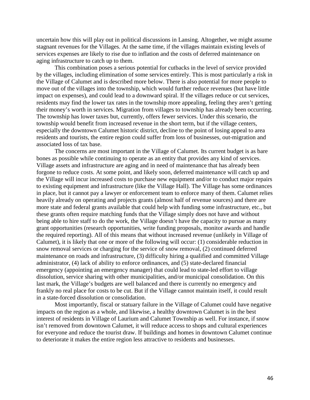uncertain how this will play out in political discussions in Lansing. Altogether, we might assume stagnant revenues for the Villages. At the same time, if the villages maintain existing levels of services expenses are likely to rise due to inflation and the costs of deferred maintenance on aging infrastructure to catch up to them.

This combination poses a serious potential for cutbacks in the level of service provided by the villages, including elimination of some services entirely. This is most particularly a risk in the Village of Calumet and is described more below. There is also potential for more people to move out of the villages into the township, which would further reduce revenues (but have little impact on expenses), and could lead to a downward spiral. If the villages reduce or cut services, residents may find the lower tax rates in the township more appealing, feeling they aren't getting their money's worth in services. Migration from villages to township has already been occurring. The township has lower taxes but, currently, offers fewer services. Under this scenario, the township would benefit from increased revenue in the short term, but if the village centers, especially the downtown Calumet historic district, decline to the point of losing appeal to area residents and tourists, the entire region could suffer from loss of businesses, out-migration and associated loss of tax base.

The concerns are most important in the Village of Calumet. Its current budget is as bare bones as possible while continuing to operate as an entity that provides any kind of services. Village assets and infrastructure are aging and in need of maintenance that has already been forgone to reduce costs. At some point, and likely soon, deferred maintenance will catch up and the Village will incur increased costs to purchase new equipment and/or to conduct major repairs to existing equipment and infrastructure (like the Village Hall). The Village has some ordinances in place, but it cannot pay a lawyer or enforcement team to enforce many of them. Calumet relies heavily already on operating and projects grants (almost half of revenue sources) and there are more state and federal grants available that could help with funding some infrastructure, etc., but these grants often require matching funds that the Village simply does not have and without being able to hire staff to do the work, the Village doesn't have the capacity to pursue as many grant opportunities (research opportunities, write funding proposals, monitor awards and handle the required reporting). All of this means that without increased revenue (unlikely in Village of Calumet), it is likely that one or more of the following will occur: (1) considerable reduction in snow removal services or charging for the service of snow removal, (2) continued deferred maintenance on roads and infrastructure, (3) difficulty hiring a qualified and committed Village administrator, (4) lack of ability to enforce ordinances, and (5) state-declared financial emergency (appointing an emergency manager) that could lead to state-led effort to village dissolution, service sharing with other municipalities, and/or municipal consolidation. On this last mark, the Village's budgets are well balanced and there is currently no emergency and frankly no real place for costs to be cut. But if the Village cannot maintain itself, it could result in a state-forced dissolution or consolidation.

Most importantly, fiscal or statuary failure in the Village of Calumet could have negative impacts on the region as a whole, and likewise, a healthy downtown Calumet is in the best interest of residents in Village of Laurium and Calumet Township as well. For instance, if snow isn't removed from downtown Calumet, it will reduce access to shops and cultural experiences for everyone and reduce the tourist draw. If buildings and homes in downtown Calumet continue to deteriorate it makes the entire region less attractive to residents and businesses.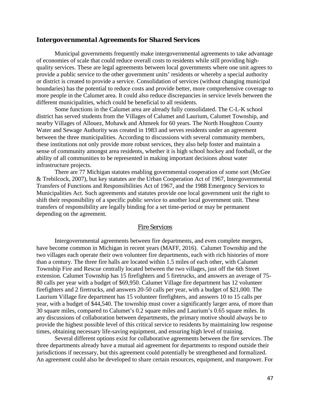#### *Intergovernmental Agreements for Shared Services*

Municipal governments frequently make intergovernmental agreements to take advantage of economies of scale that could reduce overall costs to residents while still providing highquality services. These are legal agreements between local governments where one unit agrees to provide a public service to the other government units' residents or whereby a special authority or district is created to provide a service. Consolidation of services (without changing municipal boundaries) has the potential to reduce costs and provide better, more comprehensive coverage to more people in the Calumet area. It could also reduce discrepancies in service levels between the different municipalities, which could be beneficial to all residents.

Some functions in the Calumet area are already fully consolidated. The C-L-K school district has served students from the Villages of Calumet and Laurium, Calumet Township, and nearby Villages of Allouez, Mohawk and Ahmeek for 60 years. The North Houghton County Water and Sewage Authority was created in 1983 and serves residents under an agreement between the three municipalities. According to discussions with several community members, these institutions not only provide more robust services, they also help foster and maintain a sense of community amongst area residents, whether it is high school hockey and football, or the ability of all communities to be represented in making important decisions about water infrastructure projects.

There are 77 Michigan statutes enabling governmental cooperation of some sort (McGee & Trebilcock, 2007), but key statutes are the Urban Cooperation Act of 1967, Intergovernmental Transfers of Functions and Responsibilities Act of 1967, and the 1988 Emergency Services to Municipalities Act. Such agreements and statutes provide one local government unit the right to shift their responsibility of a specific public service to another local government unit. These transfers of responsibility are legally binding for a set time-period or may be permanent depending on the agreement.

#### Fire Services

Intergovernmental agreements between fire departments, and even complete mergers, have become common in Michigan in recent years (MAFF, 2016). Calumet Township and the two villages each operate their own volunteer fire departments, each with rich histories of more than a century. The three fire halls are located within 1.5 miles of each other, with Calumet Township Fire and Rescue centrally located between the two villages, just off the 6th Street extension. Calumet Township has 15 firefighters and 5 firetrucks, and answers an average of 75- 80 calls per year with a budget of \$69,950. Calumet Village fire department has 12 volunteer firefighters and 2 firetrucks, and answers 20-50 calls per year, with a budget of \$21,000. The Laurium Village fire department has 15 volunteer firefighters, and answers 10 to 15 calls per year, with a budget of \$44,540. The township must cover a significantly larger area, of more than 30 square miles, compared to Calumet's 0.2 square miles and Laurium's 0.65 square miles. In any discussions of collaboration between departments, the primary motive should always be to provide the highest possible level of this critical service to residents by maintaining low response times, obtaining necessary life-saving equipment, and ensuring high level of training.

Several different options exist for collaborative agreements between the fire services. The three departments already have a mutual aid agreement for departments to respond outside their jurisdictions if necessary, but this agreement could potentially be strengthened and formalized. An agreement could also be developed to share certain resources, equipment, and manpower. For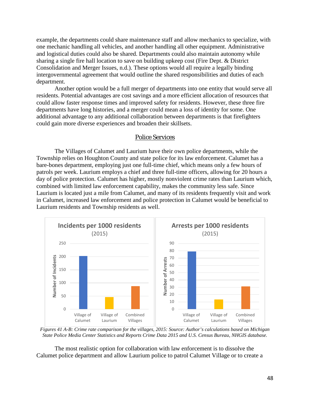example, the departments could share maintenance staff and allow mechanics to specialize, with one mechanic handling all vehicles, and another handling all other equipment. Administrative and logistical duties could also be shared. Departments could also maintain autonomy while sharing a single fire hall location to save on building upkeep cost (Fire Dept. & District Consolidation and Merger Issues, n.d.). These options would all require a legally binding intergovernmental agreement that would outline the shared responsibilities and duties of each department.

Another option would be a full merger of departments into one entity that would serve all residents. Potential advantages are cost savings and a more efficient allocation of resources that could allow faster response times and improved safety for residents. However, these three fire departments have long histories, and a merger could mean a loss of identity for some. One additional advantage to any additional collaboration between departments is that firefighters could gain more diverse experiences and broaden their skillsets.

#### Police Services

The Villages of Calumet and Laurium have their own police departments, while the Township relies on Houghton County and state police for its law enforcement. Calumet has a bare-bones department, employing just one full-time chief, which means only a few hours of patrols per week. Laurium employs a chief and three full-time officers, allowing for 20 hours a day of police protection. Calumet has higher, mostly nonviolent crime rates than Laurium which, combined with limited law enforcement capability, makes the community less safe. Since Laurium is located just a mile from Calumet, and many of its residents frequently visit and work in Calumet, increased law enforcement and police protection in Calumet would be beneficial to Laurium residents and Township residents as well.



*Figures 41 A-B: Crime rate comparison for the villages, 2015: Source: Author's calculations based on Michigan State Police Media Center Statistics and Reports Crime Data 2015 and U.S. Census Bureau, NHGIS database.*

The most realistic option for collaboration with law enforcement is to dissolve the Calumet police department and allow Laurium police to patrol Calumet Village or to create a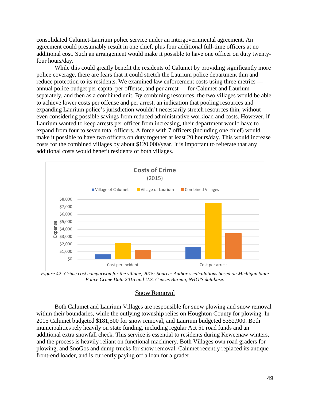consolidated Calumet-Laurium police service under an intergovernmental agreement. An agreement could presumably result in one chief, plus four additional full-time officers at no additional cost. Such an arrangement would make it possible to have one officer on duty twentyfour hours/day.

While this could greatly benefit the residents of Calumet by providing significantly more police coverage, there are fears that it could stretch the Laurium police department thin and reduce protection to its residents. We examined law enforcement costs using three metrics annual police budget per capita, per offense, and per arrest — for Calumet and Laurium separately, and then as a combined unit. By combining resources, the two villages would be able to achieve lower costs per offense and per arrest, an indication that pooling resources and expanding Laurium police's jurisdiction wouldn't necessarily stretch resources thin, without even considering possible savings from reduced administrative workload and costs. However, if Laurium wanted to keep arrests per officer from increasing, their department would have to expand from four to seven total officers. A force with 7 officers (including one chief) would make it possible to have two officers on duty together at least 20 hours/day. This would increase costs for the combined villages by about \$120,000/year. It is important to reiterate that any additional costs would benefit residents of both villages.



*Figure 42: Crime cost comparison for the village, 2015: Source: Author's calculations based on Michigan State Police Crime Data 2015 and U.S. Census Bureau, NHGIS database.*

#### Snow Removal

Both Calumet and Laurium Villages are responsible for snow plowing and snow removal within their boundaries, while the outlying township relies on Houghton County for plowing. In 2015 Calumet budgeted \$181,500 for snow removal, and Laurium budgeted \$352,900. Both municipalities rely heavily on state funding, including regular Act 51 road funds and an additional extra snowfall check. This service is essential to residents during Keweenaw winters, and the process is heavily reliant on functional machinery. Both Villages own road graders for plowing, and SnoGos and dump trucks for snow removal. Calumet recently replaced its antique front-end loader, and is currently paying off a loan for a grader.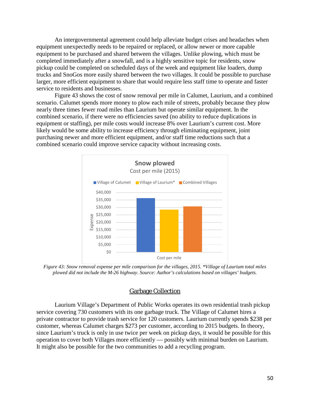An intergovernmental agreement could help alleviate budget crises and headaches when equipment unexpectedly needs to be repaired or replaced, or allow newer or more capable equipment to be purchased and shared between the villages. Unlike plowing, which must be completed immediately after a snowfall, and is a highly sensitive topic for residents, snow pickup could be completed on scheduled days of the week and equipment like loaders, dump trucks and SnoGos more easily shared between the two villages. It could be possible to purchase larger, more efficient equipment to share that would require less staff time to operate and faster service to residents and businesses.

Figure 43 shows the cost of snow removal per mile in Calumet, Laurium, and a combined scenario. Calumet spends more money to plow each mile of streets, probably because they plow nearly three times fewer road miles than Laurium but operate similar equipment. In the combined scenario, if there were no efficiencies saved (no ability to reduce duplications in equipment or staffing), per mile costs would increase 8% over Laurium's current cost. More likely would be some ability to increase efficiency through eliminating equipment, joint purchasing newer and more efficient equipment, and/or staff time reductions such that a combined scenario could improve service capacity without increasing costs.



*Figure 43: Snow removal expense per mile comparison for the villages, 2015. \*Village of Laurium total miles plowed did not include the M-26 highway. Source: Author's calculations based on villages' budgets.*

#### Garbage Collection

Laurium Village's Department of Public Works operates its own residential trash pickup service covering 730 customers with its one garbage truck. The Village of Calumet hires a private contractor to provide trash service for 120 customers. Laurium currently spends \$238 per customer, whereas Calumet charges \$273 per customer, according to 2015 budgets. In theory, since Laurium's truck is only in use twice per week on pickup days, it would be possible for this operation to cover both Villages more efficiently — possibly with minimal burden on Laurium. It might also be possible for the two communities to add a recycling program.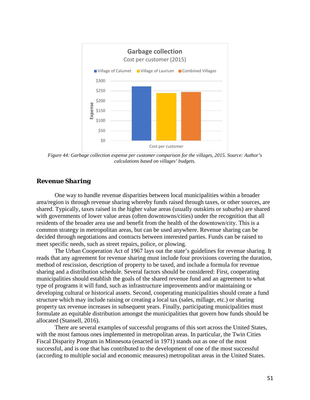

*Figure 44: Garbage collection expense per customer comparison for the villages, 2015. Source: Author's calculations based on villages' budgets.*

#### *Revenue Sharing*

One way to handle revenue disparities between local municipalities within a broader area/region is through revenue sharing whereby funds raised through taxes, or other sources, are shared. Typically, taxes raised in the higher value areas (usually outskirts or suburbs) are shared with governments of lower value areas (often downtowns/cities) under the recognition that all residents of the broader area use and benefit from the health of the downtown/city. This is a common strategy in metropolitan areas, but can be used anywhere. Revenue sharing can be decided through negotiations and contracts between interested parties. Funds can be raised to meet specific needs, such as street repairs, police, or plowing.

The Urban Cooperation Act of 1967 lays out the state's guidelines for revenue sharing. It reads that any agreement for revenue sharing must include four provisions covering the duration, method of rescission, description of property to be taxed, and include a formula for revenue sharing and a distribution schedule. Several factors should be considered: First, cooperating municipalities should establish the goals of the shared revenue fund and an agreement to what type of programs it will fund, such as infrastructure improvements and/or maintaining or developing cultural or historical assets. Second, cooperating municipalities should create a fund structure which may include raising or creating a local tax (sales, millage, etc.) or sharing property tax revenue increases in subsequent years. Finally, participating municipalities must formulate an equitable distribution amongst the municipalities that govern how funds should be allocated (Stansell, 2016).

There are several examples of successful programs of this sort across the United States, with the most famous ones implemented in metropolitan areas. In particular, the Twin Cities Fiscal Disparity Program in Minnesota (enacted in 1971) stands out as one of the most successful, and is one that has contributed to the development of one of the most successful (according to multiple social and economic measures) metropolitan areas in the United States.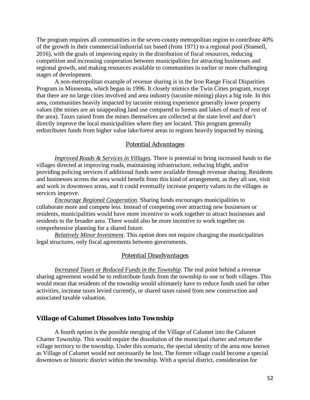The program requires all communities in the seven-county metropolitan region to contribute 40% of the growth in their commercial/industrial tax based (from 1971) to a regional pool (Stansell, 2016), with the goals of improving equity in the distribution of fiscal resources, reducing competition and increasing cooperation between municipalities for attracting businesses and regional growth, and making resources available to communities in earlier or more challenging stages of development.

A non-metropolitan example of revenue sharing is in the Iron Range Fiscal Disparities Program in Minnesota, which began in 1996. It closely mimics the Twin Cities program, except that there are no large cities involved and area industry (taconite mining) plays a big role. In this area, communities heavily impacted by taconite mining experience generally lower property values (the mines are an unappealing land use compared to forests and lakes of much of rest of the area). Taxes raised from the mines themselves are collected at the state level and don't directly improve the local municipalities where they are located. This program generally redistributes funds from higher value lake/forest areas to regions heavily impacted by mining.

#### *Potential Advantages*

*Improved Roads & Services in Villages*. There is potential to bring increased funds to the villages directed at improving roads, maintaining infrastructure, reducing blight, and/or providing policing services if additional funds were available through revenue sharing. Residents and businesses across the area would benefit from this kind of arrangement, as they all use, visit and work in downtown areas, and it could eventually increase property values in the villages as services improve.

*Encourage Regional Cooperation*. Sharing funds encourages municipalities to collaborate more and compete less. Instead of competing over attracting new businesses or residents, municipalities would have more incentive to work together to attract businesses and residents to the broader area. There would also be more incentive to work together on comprehensive planning for a shared future.

*Relatively Minor Investment*. This option does not require changing the municipalities legal structures, only fiscal agreements between governments.

#### *Potential Disadvantages*

*Increased Taxes or Reduced Funds in the Township*. The real point behind a revenue sharing agreement would be to redistribute funds from the township to one or both villages. This would mean that residents of the township would ultimately have to reduce funds used for other activities, increase taxes levied currently, or shared taxes raised from new construction and associated taxable valuation.

#### *Village of Calumet Dissolves into Township*

A fourth option is the possible merging of the Village of Calumet into the Calumet Charter Township. This would require the dissolution of the municipal charter and return the village territory to the township. Under this scenario, the special identity of the area now known as Village of Calumet would not necessarily be lost. The former village could become a special downtown or historic district within the township. With a special district, consideration for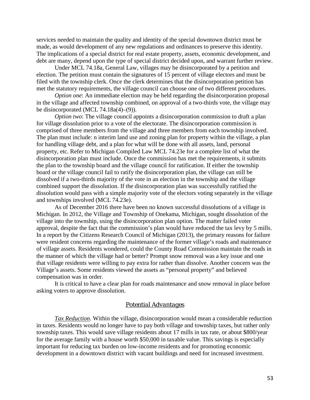services needed to maintain the quality and identity of the special downtown district must be made, as would development of any new regulations and ordinances to preserve this identity. The implications of a special district for real estate property, assets, economic development, and debt are many, depend upon the type of special district decided upon, and warrant further review.

Under MCL 74.18a, General Law, villages may be disincorporated by a petition and election. The petition must contain the signatures of 15 percent of village electors and must be filed with the township clerk. Once the clerk determines that the disincorporation petition has met the statutory requirements, the village council can choose one of two different procedures.

*Option one*: An immediate election may be held regarding the disincorporation proposal in the village and affected township combined, on approval of a two-thirds vote, the village may be disincorporated (MCL 74.18a(4)–(9)).

*Option two*: The village council appoints a disincorporation commission to draft a plan for village dissolution prior to a vote of the electorate. The disincorporation commission is comprised of three members from the village and three members from each township involved. The plan must include: n interim land use and zoning plan for property within the village, a plan for handling village debt, and a plan for what will be done with all assets, land, personal property, etc. Refer to Michigan Compiled Law MCL 74.23e for a complete list of what the disincorporation plan must include. Once the commission has met the requirements, it submits the plan to the township board and the village council for ratification. If either the township board or the village council fail to ratify the disincorporation plan, the village can still be dissolved if a two-thirds majority of the vote in an election in the township and the village combined support the dissolution. If the disincorporation plan was successfully ratified the dissolution would pass with a simple majority vote of the electors voting separately in the village and townships involved (MCL 74.23e).

As of December 2016 there have been no known successful dissolutions of a village in Michigan. In 2012, the Village and Township of Onekama, Michigan, sought dissolution of the village into the township, using the disincorporation plan option. The matter failed voter approval, despite the fact that the commission's plan would have reduced the tax levy by 5 mills. In a report by the Citizens Research Council of Michigan (2013), the primary reasons for failure were resident concerns regarding the maintenance of the former village's roads and maintenance of village assets. Residents wondered, could the County Road Commission maintain the roads in the manner of which the village had or better? Prompt snow removal was a key issue and one that village residents were willing to pay extra for rather than dissolve. Another concern was the Village's assets. Some residents viewed the assets as "personal property" and believed compensation was in order.

It is critical to have a clear plan for roads maintenance and snow removal in place before asking voters to approve dissolution.

#### *Potential Advantages*

*Tax Reduction*. Within the village, disincorporation would mean a considerable reduction in taxes. Residents would no longer have to pay both village and township taxes, but rather only township taxes. This would save village residents about 17 mills in tax rate, or about \$800/year for the average family with a house worth \$50,000 in taxable value. This savings is especially important for reducing tax burden on low-income residents and for promoting economic development in a downtown district with vacant buildings and need for increased investment.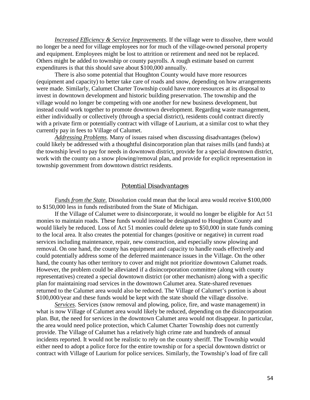*Increased Efficiency & Service Improvements*. If the village were to dissolve, there would no longer be a need for village employees nor for much of the village-owned personal property and equipment. Employees might be lost to attrition or retirement and need not be replaced. Others might be added to township or county payrolls. A rough estimate based on current expenditures is that this should save about \$100,000 annually.

There is also some potential that Houghton County would have more resources (equipment and capacity) to better take care of roads and snow, depending on how arrangements were made. Similarly, Calumet Charter Township could have more resources at its disposal to invest in downtown development and historic building preservation. The township and the village would no longer be competing with one another for new business development, but instead could work together to promote downtown development. Regarding waste management, either individually or collectively (through a special district), residents could contract directly with a private firm or potentially contract with village of Laurium, at a similar cost to what they currently pay in fees to Village of Calumet.

*Addressing Problems*. Many of issues raised when discussing disadvantages (below) could likely be addressed with a thoughtful disincorporation plan that raises mills (and funds) at the township level to pay for needs in downtown district, provide for a special downtown district, work with the county on a snow plowing/removal plan, and provide for explicit representation in township government from downtown district residents.

#### *Potential Disadvantages*

*Funds from the State.* Dissolution could mean that the local area would receive \$100,000 to \$150,000 less in funds redistributed from the State of Michigan.

If the Village of Calumet were to disincorporate, it would no longer be eligible for Act 51 monies to maintain roads. These funds would instead be designated to Houghton County and would likely be reduced. Loss of Act 51 monies could delete up to \$50,000 in state funds coming to the local area. It also creates the potential for changes (positive or negative) in current road services including maintenance, repair, new construction, and especially snow plowing and removal. On one hand, the county has equipment and capacity to handle roads effectively and could potentially address some of the deferred maintenance issues in the Village. On the other hand, the county has other territory to cover and might not prioritize downtown Calumet roads. However, the problem could be alleviated if a disincorporation committee (along with county representatives) created a special downtown district (or other mechanism) along with a specific plan for maintaining road services in the downtown Calumet area. State-shared revenues returned to the Calumet area would also be reduced. The Village of Calumet's portion is about \$100,000/year and these funds would be kept with the state should the village dissolve.

*Services*. Services (snow removal and plowing, police, fire, and waste management) in what is now Village of Calumet area would likely be reduced, depending on the disincorporation plan. But, the need for services in the downtown Calumet area would not disappear. In particular, the area would need police protection, which Calumet Charter Township does not currently provide. The Village of Calumet has a relatively high crime rate and hundreds of annual incidents reported. It would not be realistic to rely on the county sheriff. The Township would either need to adopt a police force for the entire township or for a special downtown district or contract with Village of Laurium for police services. Similarly, the Township's load of fire call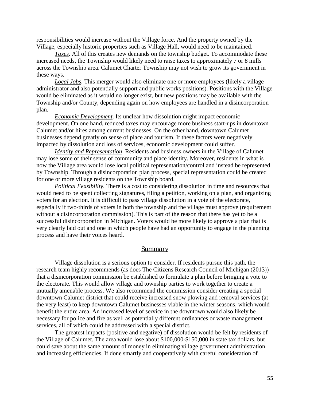responsibilities would increase without the Village force. And the property owned by the Village, especially historic properties such as Village Hall, would need to be maintained.

*Taxes*. All of this creates new demands on the township budget. To accommodate these increased needs, the Township would likely need to raise taxes to approximately 7 or 8 mills across the Township area. Calumet Charter Township may not wish to grow its government in these ways.

*Local Jobs*. This merger would also eliminate one or more employees (likely a village administrator and also potentially support and public works positions). Positions with the Village would be eliminated as it would no longer exist, but new positions may be available with the Township and/or County, depending again on how employees are handled in a disincorporation plan.

*Economic Development*. Its unclear how dissolution might impact economic development. On one hand, reduced taxes may encourage more business start-ups in downtown Calumet and/or hires among current businesses. On the other hand, downtown Calumet businesses depend greatly on sense of place and tourism. If these factors were negatively impacted by dissolution and loss of services, economic development could suffer.

*Identity and Representation*. Residents and business owners in the Village of Calumet may lose some of their sense of community and place identity. Moreover, residents in what is now the Village area would lose local political representation/control and instead be represented by Township. Through a disincorporation plan process, special representation could be created for one or more village residents on the Township board.

*Political Feasibility*. There is a cost to considering dissolution in time and resources that would need to be spent collecting signatures, filing a petition, working on a plan, and organizing voters for an election. It is difficult to pass village dissolution in a vote of the electorate, especially if two-thirds of voters in both the township and the village must approve (requirement without a disincorporation commission). This is part of the reason that there has yet to be a successful disincorporation in Michigan. Voters would be more likely to approve a plan that is very clearly laid out and one in which people have had an opportunity to engage in the planning process and have their voices heard.

#### *Summary*

Village dissolution is a serious option to consider. If residents pursue this path, the research team highly recommends (as does The Citizens Research Council of Michigan (2013)) that a disincorporation commission be established to formulate a plan before bringing a vote to the electorate. This would allow village and township parties to work together to create a mutually amenable process. We also recommend the commission consider creating a special downtown Calumet district that could receive increased snow plowing and removal services (at the very least) to keep downtown Calumet businesses viable in the winter seasons, which would benefit the entire area. An increased level of service in the downtown would also likely be necessary for police and fire as well as potentially different ordinances or waste management services, all of which could be addressed with a special district.

The greatest impacts (positive and negative) of dissolution would be felt by residents of the Village of Calumet. The area would lose about \$100,000-\$150,000 in state tax dollars, but could save about the same amount of money in eliminating village government administration and increasing efficiencies. If done smartly and cooperatively with careful consideration of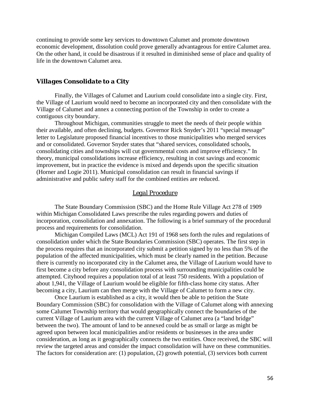continuing to provide some key services to downtown Calumet and promote downtown economic development, dissolution could prove generally advantageous for entire Calumet area. On the other hand, it could be disastrous if it resulted in diminished sense of place and quality of life in the downtown Calumet area.

#### *Villages Consolidate to a City*

Finally, the Villages of Calumet and Laurium could consolidate into a single city. First, the Village of Laurium would need to become an incorporated city and then consolidate with the Village of Calumet and annex a connecting portion of the Township in order to create a contiguous city boundary.

Throughout Michigan, communities struggle to meet the needs of their people within their available, and often declining, budgets. Governor Rick Snyder's 2011 "special message" letter to Legislature proposed financial incentives to those municipalities who merged services and or consolidated. Governor Snyder states that "shared services, consolidated schools, consolidating cities and townships will cut governmental costs and improve efficiency." In theory, municipal consolidations increase efficiency, resulting in cost savings and economic improvement, but in practice the evidence is mixed and depends upon the specific situation (Horner and Logie 2011). Municipal consolidation can result in financial savings if administrative and public safety staff for the combined entities are reduced.

#### *Legal Procedure*

The State Boundary Commission (SBC) and the Home Rule Village Act 278 of 1909 within Michigan Consolidated Laws prescribe the rules regarding powers and duties of incorporation, consolidation and annexation. The following is a brief summary of the procedural process and requirements for consolidation.

Michigan Compiled Laws (MCL) Act 191 of 1968 sets forth the rules and regulations of consolidation under which the State Boundaries Commission (SBC) operates. The first step in the process requires that an incorporated city submit a petition signed by no less than 5% of the population of the affected municipalities, which must be clearly named in the petition. Because there is currently no incorporated city in the Calumet area, the Village of Laurium would have to first become a city before any consolidation process with surrounding municipalities could be attempted. Cityhood requires a population total of at least 750 residents. With a population of about 1,941, the Village of Laurium would be eligible for fifth-class home city status. After becoming a city, Laurium can then merge with the Village of Calumet to form a new city.

Once Laurium is established as a city, it would then be able to petition the State Boundary Commission (SBC) for consolidation with the Village of Calumet along with annexing some Calumet Township territory that would geographically connect the boundaries of the current Village of Laurium area with the current Village of Calumet area (a "land bridge" between the two). The amount of land to be annexed could be as small or large as might be agreed upon between local municipalities and/or residents or businesses in the area under consideration, as long as it geographically connects the two entities. Once received, the SBC will review the targeted areas and consider the impact consolidation will have on these communities. The factors for consideration are: (1) population, (2) growth potential, (3) services both current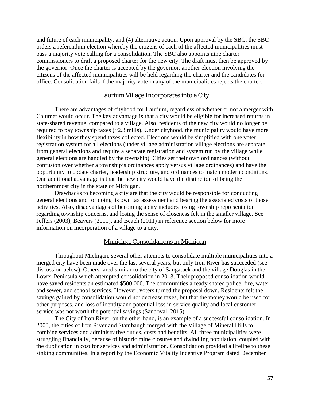and future of each municipality, and (4) alternative action. Upon approval by the SBC, the SBC orders a referendum election whereby the citizens of each of the affected municipalities must pass a majority vote calling for a consolidation. The SBC also appoints nine charter commissioners to draft a proposed charter for the new city. The draft must then be approved by the governor. Once the charter is accepted by the governor, another election involving the citizens of the affected municipalities will be held regarding the charter and the candidates for office. Consolidation fails if the majority vote in any of the municipalities rejects the charter.

#### Laurium Village Incorporates into a City

There are advantages of cityhood for Laurium, regardless of whether or not a merger with Calumet would occur. The key advantage is that a city would be eligible for increased returns in state-shared revenue, compared to a village. Also, residents of the new city would no longer be required to pay township taxes  $\left(\sim 2.3 \text{ mills}\right)$ . Under cityhood, the municipality would have more flexibility in how they spend taxes collected. Elections would be simplified with one voter registration system for all elections (under village administration village elections are separate from general elections and require a separate registration and system run by the village while general elections are handled by the township). Cities set their own ordinances (without confusion over whether a township's ordinances apply versus village ordinances) and have the opportunity to update charter, leadership structure, and ordinances to match modern conditions. One additional advantage is that the new city would have the distinction of being the northernmost city in the state of Michigan.

Drawbacks to becoming a city are that the city would be responsible for conducting general elections and for doing its own tax assessment and bearing the associated costs of those activities. Also, disadvantages of becoming a city includes losing township representation regarding township concerns, and losing the sense of closeness felt in the smaller village. See Jeffers (2003), Beavers (2011), and Beach (2011) in reference section below for more information on incorporation of a village to a city.

#### Municipal Consolidations in Michigan

Throughout Michigan, several other attempts to consolidate multiple municipalities into a merged city have been made over the last several years, but only Iron River has succeeded (see discussion below). Others fared similar to the city of Saugatuck and the village Douglas in the Lower Peninsula which attempted consolidation in 2013. Their proposed consolidation would have saved residents an estimated \$500,000. The communities already shared police, fire, water and sewer, and school services. However, voters turned the proposal down. Residents felt the savings gained by consolidation would not decrease taxes, but that the money would be used for other purposes, and loss of identity and potential loss in service quality and local customer service was not worth the potential savings (Sandoval, 2015).

The City of Iron River, on the other hand, is an example of a successful consolidation. In 2000, the cities of Iron River and Stambaugh merged with the Village of Mineral Hills to combine services and administrative duties, costs and benefits. All three municipalities were struggling financially, because of historic mine closures and dwindling population, coupled with the duplication in cost for services and administration. Consolidation provided a lifeline to these sinking communities. In a report by the Economic Vitality Incentive Program dated December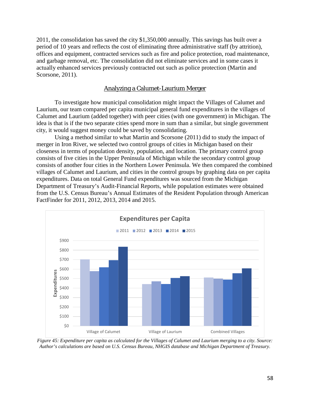2011, the consolidation has saved the city \$1,350,000 annually. This savings has built over a period of 10 years and reflects the cost of eliminating three administrative staff (by attrition), offices and equipment, contracted services such as fire and police protection, road maintenance, and garbage removal, etc. The consolidation did not eliminate services and in some cases it actually enhanced services previously contracted out such as police protection (Martin and Scorsone, 2011).

#### Analyzing a Calumet-Laurium Merger

To investigate how municipal consolidation might impact the Villages of Calumet and Laurium, our team compared per capita municipal general fund expenditures in the villages of Calumet and Laurium (added together) with peer cities (with one government) in Michigan. The idea is that is if the two separate cities spend more in sum than a similar, but single government city, it would suggest money could be saved by consolidating.

Using a method similar to what Martin and Scorsone (2011) did to study the impact of merger in Iron River, we selected two control groups of cities in Michigan based on their closeness in terms of population density, population, and location. The primary control group consists of five cities in the Upper Peninsula of Michigan while the secondary control group consists of another four cities in the Northern Lower Peninsula. We then compared the combined villages of Calumet and Laurium, and cities in the control groups by graphing data on per capita expenditures. Data on total General Fund expenditures was sourced from the Michigan Department of Treasury's Audit-Financial Reports, while population estimates were obtained from the U.S. Census Bureau's Annual Estimates of the Resident Population through American FactFinder for 2011, 2012, 2013, 2014 and 2015.



*Figure 45: Expenditure per capita as calculated for the Villages of Calumet and Laurium merging to a city. Source: Author's calculations are based on U.S. Census Bureau, NHGIS database and Michigan Department of Treasury.*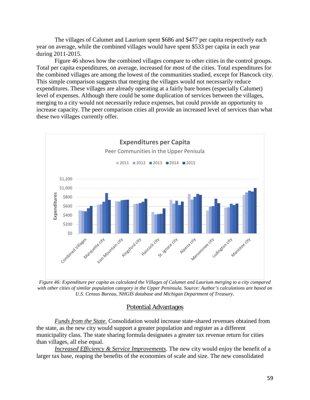The villages of Calumet and Laurium spent \$686 and \$477 per capita respectively each year on average, while the combined villages would have spent \$533 per capita in each year during 2011-2015.

Figure 46 shows how the combined villages compare to other cities in the control groups. Total per capita expenditures, on average, increased for most of the cities. Total expenditures for the combined villages are among the lowest of the communities studied, except for Hancock city. This simple comparison suggests that merging the villages would not necessarily reduce expenditures. These villages are already operating at a fairly bare bones (especially Calumet) level of expenses. Although there could be some duplication of services between the villages, merging to a city would not necessarily reduce expenses, but could provide an opportunity to increase capacity. The peer comparison cities all provide an increased level of services than what these two villages currently offer.



*Figure 46: Expenditure per capita as calculated the Villages of Calumet and Laurium merging to a city compared with other cities of similar population category in the Upper Peninsula. Source: Author's calculations are based on U.S. Census Bureau, NHGIS database and Michigan Department of Treasury.*

#### Potential Advantages

*Funds from the State.* Consolidation would increase state-shared revenues obtained from the state, as the new city would support a greater population and register as a different municipality class. The state sharing formula designates a greater tax revenue return for cities than villages, all else equal.

*Increased Efficiency & Service Improvements*. The new city would enjoy the benefit of a larger tax base, reaping the benefits of the economies of scale and size. The new consolidated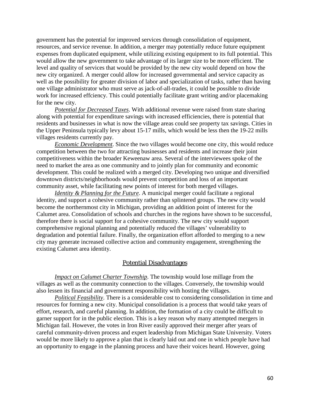government has the potential for improved services through consolidation of equipment, resources, and service revenue. In addition, a merger may potentially reduce future equipment expenses from duplicated equipment, while utilizing existing equipment to its full potential. This would allow the new government to take advantage of its larger size to be more efficient. The level and quality of services that would be provided by the new city would depend on how the new city organized. A merger could allow for increased governmental and service capacity as well as the possibility for greater division of labor and specialization of tasks, rather than having one village administrator who must serve as jack-of-all-trades, it could be possible to divide work for increased effciency. This could potentially facilitate grant writing and/or placemaking for the new city.

*Potential for Decreased Taxes*. With additional revenue were raised from state sharing along with potential for expenditure savings with increased efficiencies, there is potential that residents and businesses in what is now the village areas could see property tax savings. Cities in the Upper Peninsula typically levy about 15-17 mills, which would be less then the 19-22 mills villages residents currently pay.

*Economic Development*. Since the two villages would become one city, this would reduce competition between the two for attracting businesses and residents and increase their joint competitiveness within the broader Keweenaw area. Several of the interviewees spoke of the need to market the area as one community and to jointly plan for community and economic development. This could be realized with a merged city. Developing two unique and diversified downtown districts/neighborhoods would prevent competition and loss of an important community asset, while facilitating new points of interest for both merged villages.

*Identity & Planning for the Future*. A municipal merger could facilitate a regional identity, and support a cohesive community rather than splintered groups. The new city would become the northernmost city in Michigan, providing an addition point of interest for the Calumet area. Consolidation of schools and churches in the regions have shown to be successful, therefore there is social support for a cohesive community. The new city would support comprehensive regional planning and potentially reduced the villages' vulnerability to degradation and potential failure. Finally, the organization effort afforded to merging to a new city may generate increased collective action and community engagement, strengthening the existing Calumet area identity.

#### Potential Disadvantages

*Impact on Calumet Charter Township*. The township would lose millage from the villages as well as the community connection to the villages. Conversely, the township would also lessen its financial and government responsibility with hosting the villages.

*Political Feasibility*. There is a considerable cost to considering consolidation in time and resources for forming a new city. Municipal consolidation is a process that would take years of effort, research, and careful planning. In addition, the formation of a city could be difficult to garner support for in the public election. This is a key reason why many attempted mergers in Michigan fail. However, the votes in Iron River easily approved their merger after years of careful community-driven process and expert leadership from Michigan State University. Voters would be more likely to approve a plan that is clearly laid out and one in which people have had an opportunity to engage in the planning process and have their voices heard. However, going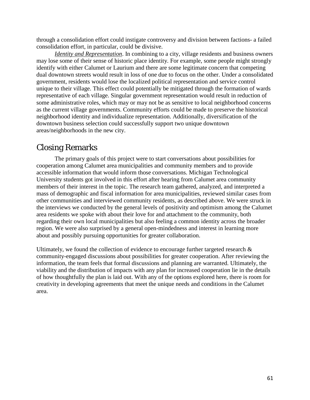through a consolidation effort could instigate controversy and division between factions- a failed consolidation effort, in particular, could be divisive.

*Identity and Representation*. In combining to a city, village residents and business owners may lose some of their sense of historic place identity. For example, some people might strongly identify with either Calumet or Laurium and there are some legitimate concern that competing dual downtown streets would result in loss of one due to focus on the other. Under a consolidated government, residents would lose the localized political representation and service control unique to their village. This effect could potentially be mitigated through the formation of wards representative of each village. Singular government representation would result in reduction of some administrative roles, which may or may not be as sensitive to local neighborhood concerns as the current village governments. Community efforts could be made to preserve the historical neighborhood identity and individualize representation. Additionally, diversification of the downtown business selection could successfully support two unique downtown areas/neighborhoods in the new city.

# Closing Remarks

The primary goals of this project were to start conversations about possibilities for cooperation among Calumet area municipalities and community members and to provide accessible information that would inform those conversations. Michigan Technological University students got involved in this effort after hearing from Calumet area community members of their interest in the topic. The research team gathered, analyzed, and interpreted a mass of demographic and fiscal information for area municipalities, reviewed similar cases from other communities and interviewed community residents, as described above. We were struck in the interviews we conducted by the general levels of positivity and optimism among the Calumet area residents we spoke with about their love for and attachment to the community, both regarding their own local municipalities but also feeling a common identity across the broader region. We were also surprised by a general open-mindedness and interest in learning more about and possibly pursuing opportunities for greater collaboration.

Ultimately, we found the collection of evidence to encourage further targeted research  $\&$ community-engaged discussions about possibilities for greater cooperation. After reviewing the information, the team feels that formal discussions and planning are warranted. Ultimately, the viability and the distribution of impacts with any plan for increased cooperation lie in the details of how thoughtfully the plan is laid out. With any of the options explored here, there is room for creativity in developing agreements that meet the unique needs and conditions in the Calumet area.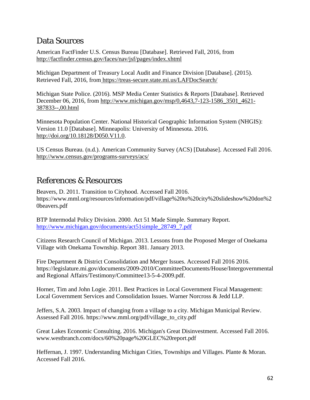# Data Sources

American FactFinder U.S. Census Bureau [Database]. Retrieved Fall, 2016, from <http://factfinder.census.gov/faces/nav/jsf/pages/index.xhtml>

Michigan Department of Treasury Local Audit and Finance Division [Database]. (2015). Retrieved Fall, 2016, from <https://treas-secure.state.mi.us/LAFDocSearch/>

Michigan State Police. (2016). MSP Media Center Statistics & Reports [Database]. Retrieved December 06, 2016, from [http://www.michigan.gov/msp/0,4643,7-123-1586\\_3501\\_4621-](http://www.michigan.gov/msp/0,4643,7-123-1586_3501_4621-387833--,00.html) [387833--,00.html](http://www.michigan.gov/msp/0,4643,7-123-1586_3501_4621-387833--,00.html)

Minnesota Population Center. National Historical Geographic Information System (NHGIS): Version 11.0 [Database]. Minneapolis: University of Minnesota. 2016[.](http://doi.org/10.18128/D050.V11.0) [http://doi.org/10.18128/D050.V11.0.](http://doi.org/10.18128/D050.V11.0)

US Census Bureau. (n.d.). American Community Survey (ACS) [Database]. Accessed Fall 2016. <http://www.census.gov/programs-surveys/acs/>

# References & Resources

Beavers, D. 2011. Transition to Cityhood. Accessed Fall 2016. https://www.mml.org/resources/information/pdf/village%20to%20city%20slideshow%20don%2 0beavers.pdf

BTP Intermodal Policy Division. 2000. Act 51 Made Simple. Summary Report. [http://www.michigan.gov/documents/act51simple\\_28749\\_7.pdf](http://www.michigan.gov/documents/act51simple_28749_7.pdf)

Citizens Research Council of Michigan. 2013. Lessons from the Proposed Merger of Onekama Village with Onekama Township. Report 381. January 2013.

Fire Department & District Consolidation and Merger Issues. Accessed Fall 2016 2016. https://legislature.mi.gov/documents/2009-2010/CommitteeDocuments/House/Intergovernmental and Regional Affairs/Testimony/Committee13-5-4-2009.pdf.

Horner, Tim and John Logie. 2011. Best Practices in Local Government Fiscal Management: Local Government Services and Consolidation Issues. Warner Norcross & Jedd LLP.

Jeffers, S.A. 2003. Impact of changing from a village to a city. Michigan Municipal Review. Assessed Fall 2016. https://www.mml.org/pdf/village\_to\_city.pdf

Great Lakes Economic Consulting. 2016. Michigan's Great Disinvestment. Accessed Fall 2016. www.westbranch.com/docs/60%20page%20GLEC%20report.pdf

Heffernan, J. 1997. Understanding Michigan Cities, Townships and Villages. Plante & Moran. Accessed Fall 2016.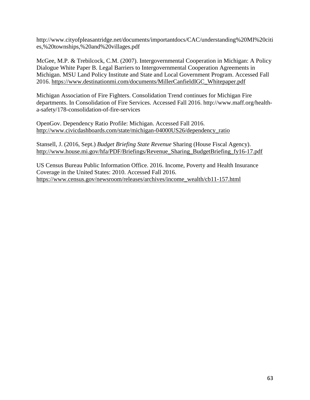http://www.cityofpleasantridge.net/documents/importantdocs/CAC/understanding%20MI%20citi es,%20townships,%20and%20villages.pdf

McGee, M.P. & Trebilcock, C.M. (2007). Intergovernmental Cooperation in Michigan: A Policy Dialogue White Paper B. Legal Barriers to Intergovernmental Cooperation Agreements in Michigan. MSU Land Policy Institute and State and Local Government Program. Accessed Fall 2016. [https://www.destinationmi.com/documents/MillerCanfieldIGC\\_Whitepaper.pdf](https://www.destinationmi.com/documents/MillerCanfieldIGC_Whitepaper.pdf)

Michigan Association of Fire Fighters. Consolidation Trend continues for Michigan Fire departments. In Consolidation of Fire Services. Accessed Fall 2016. http://www.maff.org/healtha-safety/178-consolidation-of-fire-services

OpenGov. Dependency Ratio Profile: Michigan. Accessed Fall 2016. [http://www.civicdashboards.com/state/michigan-04000US26/dependency\\_ratio](http://www.civicdashboards.com/state/michigan-04000US26/dependency_ratio)

Stansell, J. (2016, Sept.) *Budget Briefing State Revenue* Sharing (House Fiscal Agency). [http://www.house.mi.gov/hfa/PDF/Briefings/Revenue\\_Sharing\\_BudgetBriefing\\_fy16-17.pdf](http://www.house.mi.gov/hfa/PDF/Briefings/Revenue_Sharing_BudgetBriefing_fy16-17.pdf)

US Census Bureau Public Information Office. 2016. Income, Poverty and Health Insurance Coverage in the United States: 2010. Accessed Fall 2016. [https://www.census.gov/newsroom/releases/archives/income\\_wealth/cb11-157.html](https://www.census.gov/newsroom/releases/archives/income_wealth/cb11-157.html)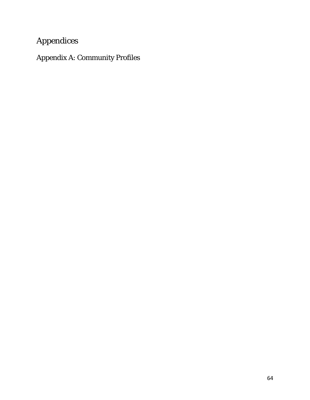# Appendices

Appendix A: Community Profiles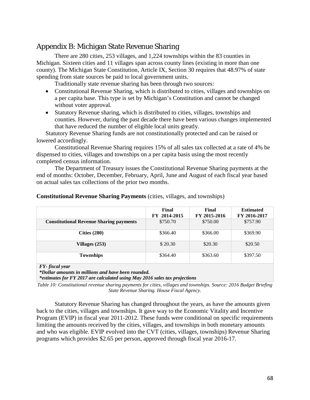## Appendix B: Michigan State Revenue Sharing

There are 280 cities, 253 villages, and 1,224 townships within the 83 counties in Michigan. Sixteen cities and 11 villages span across county lines (existing in more than one county). The Michigan State Constitution, Article IX, Section 30 requires that 48.97% of state spending from state sources be paid to local government units.

Traditionally state revenue sharing has been through two sources:

- Constitutional Revenue Sharing, which is distributed to cities, villages and townships on a per capita base. This type is set by Michigan's Constitution and cannot be changed without voter approval.
- Statutory Revenue sharing, which is distributed to cities, villages, townships and counties. However, during the past decade there have been various changes implemented that have reduced the number of eligible local units greatly.

Statutory Revenue Sharing funds are not constitutionally protected and can be raised or lowered accordingly.

Constitutional Revenue Sharing requires 15% of all sales tax collected at a rate of 4% be dispensed to cities, villages and townships on a per capita basis using the most recently completed census information.

The Department of Treasury issues the Constitutional Revenue Sharing payments at the end of months: October, December, February, April, June and August of each fiscal year based on actual sales tax collections of the prior two months.

|                                                | Final<br>FY 2014-2015 | Final<br>FY 2015-2016 | <b>Estimated</b><br>FY 2016-2017 |
|------------------------------------------------|-----------------------|-----------------------|----------------------------------|
| <b>Constitutional Revenue Sharing payments</b> | \$750.70              | \$750.00              | \$757.90                         |
| Cities $(280)$                                 | \$366.40              | \$366.00              | \$369.90                         |
| Villages $(253)$                               | \$20.30               | \$20.30               | \$20.50                          |
| <b>Townships</b>                               | \$364.40              | \$363.60              | \$397.50                         |
| FY-fiscal vear                                 |                       |                       |                                  |

#### **Constitutional Revenue Sharing Payments** (cities, villages, and townships)

*FY- fiscal year*

*\*Dollar amounts in millions and have been rounded.*

*\*estimates for FY 2017 are calculated using May 2016 sales tax projections*

*Table 10: Constitutional revenue sharing payments for cities, villages and townships. Source: 2016 Budget Briefing State Revenue Sharing. House Fiscal Agency.*

Statutory Revenue Sharing has changed throughout the years, as have the amounts given back to the cities, villages and townships. It gave way to the Economic Vitality and Incentive Program (EVIP) in fiscal year 2011-2012. These funds were conditional on specific requirements limiting the amounts received by the cities, villages, and townships in both monetary amounts and who was eligible. EVIP evolved into the CVT (cities, villages, townships) Revenue Sharing programs which provides \$2.65 per person, approved through fiscal year 2016-17.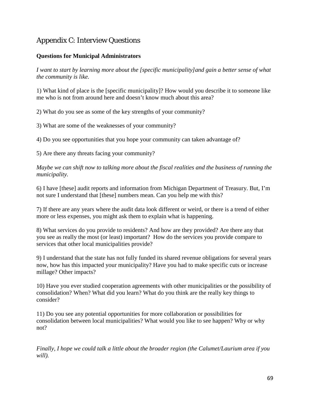# Appendix C: Interview Questions

# **Questions for Municipal Administrators**

*I want to start by learning more about the [specific municipality]and gain a better sense of what the community is like.*

1) What kind of place is the [specific municipality]? How would you describe it to someone like me who is not from around here and doesn't know much about this area?

2) What do you see as some of the key strengths of your community?

3) What are some of the weaknesses of your community?

4) Do you see opportunities that you hope your community can taken advantage of?

5) Are there any threats facing your community?

*Maybe we can shift now to talking more about the fiscal realities and the business of running the municipality.* 

6) I have [these] audit reports and information from Michigan Department of Treasury. But, I'm not sure I understand that [these] numbers mean. Can you help me with this?

7) If there are any years where the audit data look different or weird, or there is a trend of either more or less expenses, you might ask them to explain what is happening.

8) What services do you provide to residents? And how are they provided? Are there any that you see as really the most (or least) important? How do the services you provide compare to services that other local municipalities provide?

9) I understand that the state has not fully funded its shared revenue obligations for several years now, how has this impacted your municipality? Have you had to make specific cuts or increase millage? Other impacts?

10) Have you ever studied cooperation agreements with other municipalities or the possibility of consolidation? When? What did you learn? What do you think are the really key things to consider?

11) Do you see any potential opportunities for more collaboration or possibilities for consolidation between local municipalities? What would you like to see happen? Why or why not?

*Finally, I hope we could talk a little about the broader region (the Calumet/Laurium area if you will).*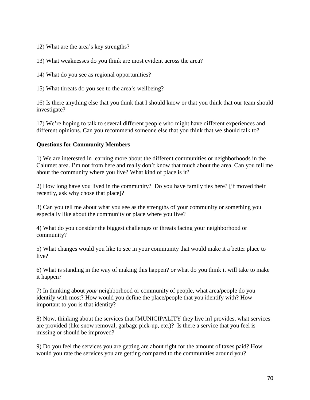12) What are the area's key strengths?

13) What weaknesses do you think are most evident across the area?

14) What do you see as regional opportunities?

15) What threats do you see to the area's wellbeing?

16) Is there anything else that you think that I should know or that you think that our team should investigate?

17) We're hoping to talk to several different people who might have different experiences and different opinions. Can you recommend someone else that you think that we should talk to?

### **Questions for Community Members**

1) We are interested in learning more about the different communities or neighborhoods in the Calumet area. I'm not from here and really don't know that much about the area. Can you tell me about the community where you live? What kind of place is it?

2) How long have you lived in the community? Do you have family ties here? [if moved their recently, ask why chose that place]?

3) Can you tell me about what you see as the strengths of your community or something you especially like about the community or place where you live?

4) What do you consider the biggest challenges or threats facing your neighborhood or community?

5) What changes would you like to see in your community that would make it a better place to live?

6) What is standing in the way of making this happen? or what do you think it will take to make it happen?

7) In thinking about *your* neighborhood or community of people, what area/people do you identify with most? How would you define the place/people that you identify with? How important to you is that identity?

8) Now, thinking about the services that [MUNICIPALITY they live in] provides, what services are provided (like snow removal, garbage pick-up, etc.)? Is there a service that you feel is missing or should be improved?

9) Do you feel the services you are getting are about right for the amount of taxes paid? How would you rate the services you are getting compared to the communities around you?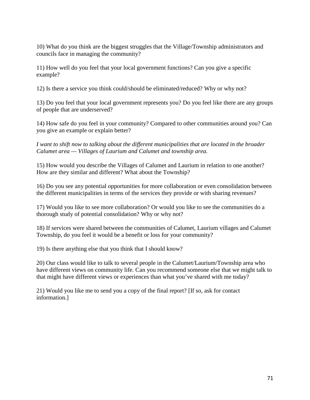10) What do you think are the biggest struggles that the Village/Township administrators and councils face in managing the community?

11) How well do you feel that your local government functions? Can you give a specific example?

12) Is there a service you think could/should be eliminated/reduced? Why or why not?

13) Do you feel that your local government represents you? Do you feel like there are any groups of people that are underserved?

14) How safe do you feel in your community? Compared to other communities around you? Can you give an example or explain better?

*I want to shift now to talking about the different municipalities that are located in the broader Calumet area — Villages of Laurium and Calumet and township area.* 

15) How would you describe the Villages of Calumet and Laurium in relation to one another? How are they similar and different? What about the Township?

16) Do you see any potential opportunities for more collaboration or even consolidation between the different municipalities in terms of the services they provide or with sharing revenues?

17) Would you like to see more collaboration? Or would you like to see the communities do a thorough study of potential consolidation? Why or why not?

18) If services were shared between the communities of Calumet, Laurium villages and Calumet Township, do you feel it would be a benefit or loss for your community?

19) Is there anything else that you think that I should know?

20) Our class would like to talk to several people in the Calumet/Laurium/Township area who have different views on community life. Can you recommend someone else that we might talk to that might have different views or experiences than what you've shared with me today?

21) Would you like me to send you a copy of the final report? [If so, ask for contact information.]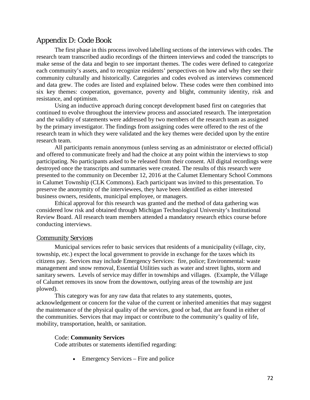# Appendix D: Code Book

The first phase in this process involved labelling sections of the interviews with codes. The research team transcribed audio recordings of the thirteen interviews and coded the transcripts to make sense of the data and begin to see important themes. The codes were defined to categorize each community's assets, and to recognize residents' perspectives on how and why they see their community culturally and historically. Categories and codes evolved as interviews commenced and data grew. The codes are listed and explained below. These codes were then combined into six key themes: cooperation, governance, poverty and blight, community identity, risk and resistance, and optimism.

Using an inductive approach during concept development based first on categories that continued to evolve throughout the interview process and associated research. The interpretation and the validity of statements were addressed by two members of the research team as assigned by the primary investigator. The findings from assigning codes were offered to the rest of the research team in which they were validated and the key themes were decided upon by the entire research team.

All participants remain anonymous (unless serving as an administrator or elected official) and offered to communicate freely and had the choice at any point within the interviews to stop participating. No participants asked to be released from their consent. All digital recordings were destroyed once the transcripts and summaries were created. The results of this research were presented to the community on December 12, 2016 at the Calumet Elementary School Commons in Calumet Township (CLK Commons). Each participant was invited to this presentation. To preserve the anonymity of the interviewees, they have been identified as either interested business owners, residents, municipal employee, or managers.

Ethical approval for this research was granted and the method of data gathering was considered low risk and obtained through Michigan Technological University's Institutional Review Board. All research team members attended a mandatory research ethics course before conducting interviews.

### *Community Services*

Municipal services refer to basic services that residents of a municipality (village, city, township, etc.) expect the local government to provide in exchange for the taxes which its citizens pay. Services may include Emergency Services: fire, police; Environmental: waste management and snow removal, Essential Utilities such as water and street lights, storm and sanitary sewers. Levels of service may differ in townships and villages. (Example, the Village of Calumet removes its snow from the downtown, outlying areas of the township are just plowed).

This category was for any raw data that relates to any statements, quotes, acknowledgement or concern for the value of the current or inherited amenities that may suggest the maintenance of the physical quality of the services, good or bad, that are found in either of the communities. Services that may impact or contribute to the community's quality of life, mobility, transportation, health, or sanitation.

### Code: **Community Services**

Code attributes or statements identified regarding:

• Emergency Services – Fire and police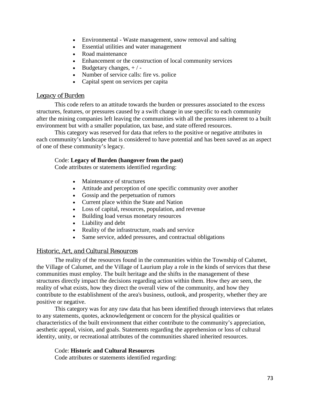- Environmental Waste management, snow removal and salting
- Essential utilities and water management
- Road maintenance
- Enhancement or the construction of local community services
- Budgetary changes,  $+/-$
- Number of service calls: fire vs. police
- Capital spent on services per capita

# *Legacy of Burden*

This code refers to an attitude towards the burden or pressures associated to the excess structures, features, or pressures caused by a swift change in use specific to each community after the mining companies left leaving the communities with all the pressures inherent to a built environment but with a smaller population, tax base, and state offered resources.

This category was reserved for data that refers to the positive or negative attributes in each community's landscape that is considered to have potential and has been saved as an aspect of one of these community's legacy.

### Code: **Legacy of Burden (hangover from the past)**

Code attributes or statements identified regarding:

- Maintenance of structures
- Attitude and perception of one specific community over another
- Gossip and the perpetuation of rumors
- Current place within the State and Nation
- Loss of capital, resources, population, and revenue
- Building load versus monetary resources
- Liability and debt
- Reality of the infrastructure, roads and service
- Same service, added pressures, and contractual obligations

# *Historic, Art, and Cultural Resources*

The reality of the resources found in the communities within the Township of Calumet, the Village of Calumet, and the Village of Laurium play a role in the kinds of services that these communities must employ. The built heritage and the shifts in the management of these structures directly impact the decisions regarding action within them. How they are seen, the reality of what exists, how they direct the overall view of the community, and how they contribute to the establishment of the area's business, outlook, and prosperity, whether they are positive or negative.

This category was for any raw data that has been identified through interviews that relates to any statements, quotes, acknowledgement or concern for the physical qualities or characteristics of the built environment that either contribute to the community's appreciation, aesthetic appeal, vision, and goals. Statements regarding the apprehension or loss of cultural identity, unity, or recreational attributes of the communities shared inherited resources.

### Code: **Historic and Cultural Resources**

Code attributes or statements identified regarding: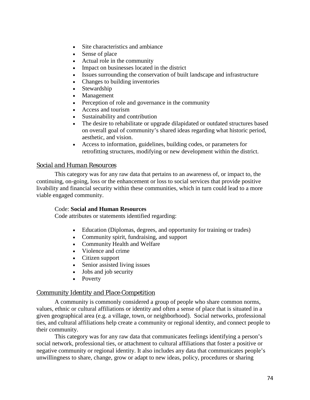- Site characteristics and ambiance
- Sense of place
- Actual role in the community
- Impact on businesses located in the district
- Issues surrounding the conservation of built landscape and infrastructure
- Changes to building inventories
- Stewardship
- Management
- Perception of role and governance in the community
- Access and tourism
- Sustainability and contribution
- The desire to rehabilitate or upgrade dilapidated or outdated structures based on overall goal of community's shared ideas regarding what historic period, aesthetic, and vision.
- Access to information, guidelines, building codes, or parameters for retrofitting structures, modifying or new development within the district.

# *Social and Human Resources*

This category was for any raw data that pertains to an awareness of, or impact to, the continuing, on-going, loss or the enhancement or loss to social services that provide positive livability and financial security within these communities, which in turn could lead to a more viable engaged community.

# Code: **Social and Human Resources**

Code attributes or statements identified regarding:

- Education (Diplomas, degrees, and opportunity for training or trades)
- Community spirit, fundraising, and support
- Community Health and Welfare
- Violence and crime
- Citizen support
- Senior assisted living issues
- Jobs and job security
- Poverty

# *Community Identity and Place Competition*

A community is commonly considered a group of people who share common norms, values, ethnic or cultural affiliations or identity and often a sense of place that is situated in a given geographical area (e.g. a village, town, or neighborhood). Social networks, professional ties, and cultural affiliations help create a community or regional identity, and connect people to their community.

This category was for any raw data that communicates feelings identifying a person's social network, professional ties, or attachment to cultural affiliations that foster a positive or negative community or regional identity. It also includes any data that communicates people's unwillingness to share, change, grow or adapt to new ideas, policy, procedures or sharing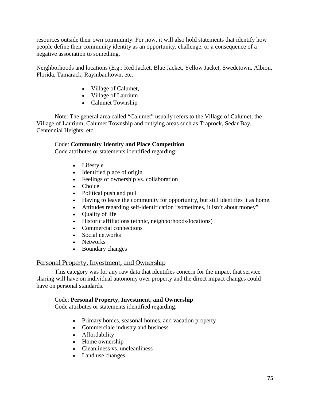resources outside their own community. For now, it will also hold statements that identify how people define their community identity as an opportunity, challenge, or a consequence of a negative association to something.

Neighborhoods and locations (E.g.: Red Jacket, Blue Jacket, Yellow Jacket, Swedetown, Albion, Florida, Tamarack, Raymbaultown, etc.

- Village of Calumet,
- Village of Laurium
- Calumet Township

Note: The general area called "Calumet" usually refers to the Village of Calumet, the Village of Laurium, Calumet Township and outlying areas such as Traprock, Sedar Bay, Centennial Heights, etc.

# Code: **Community Identity and Place Competition**

Code attributes or statements identified regarding:

- Lifestyle
- Identified place of origin
- Feelings of ownership vs. collaboration
- Choice
- Political push and pull
- Having to leave the community for opportunity, but still identifies it as home.
- Attitudes regarding self-identification "sometimes, it isn't about money"
- Quality of life
- Historic affiliations (ethnic, neighborhoods/locations)
- Commercial connections
- Social networks
- Networks
- Boundary changes

# *Personal Property, Investment, and Ownership*

This category was for any raw data that identifies concern for the impact that service sharing will have on individual autonomy over property and the direct impact changes could have on personal standards.

# Code: **Personal Property, Investment, and Ownership**

Code attributes or statements identified regarding:

- Primary homes, seasonal homes, and vacation property
- Commerciale industry and business
- Affordability
- Home ownership
- Cleanliness vs. uncleanliness
- Land use changes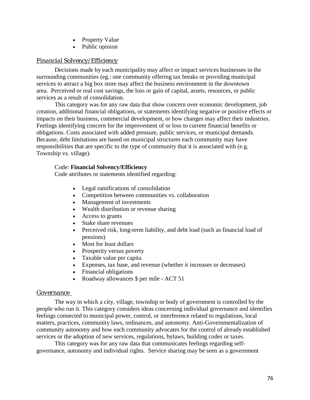- Property Value
- Public opinion

# *Financial Solvency/Efficiency*

Decisions made by each municipality may affect or impact services businesses in the surrounding communities (eg.: one community offering tax breaks or providing municipal services to attract a big box store may affect the business environment in the downtown area. Perceived or real cost savings, the loss or gain of capital, assets, resources, or public services as a result of consolidation.

This category was for any raw data that show concern over economic development, job creation, additional financial obligations, or statements identifying negative or positive effects or impacts on their business, commercial development, or how changes may affect their industries. Feelings identifying concern for the improvement of or loss to current financial benefits or obligations. Costs associated with added pressure, public services, or municipal demands. Because, debt limitations are based on municipal structures each community may have responsibilities that are specific to the type of community that it is associated with (e.g. Township vs. village).

### Code: **Financial Solvency/Efficiency**

Code attributes or statements identified regarding:

- Legal ramifications of consolidation
- Competition between communities vs. collaboration
- Management of investments
- Wealth distribution or revenue sharing
- Access to grants
- Stake share revenues
- Perceived risk, long-term liability, and debt load (such as financial load of pensions)
- Most for least dollars
- Prosperity versus poverty
- Taxable value per capita
- Expenses, tax base, and revenue (whether it increases or decreases)
- Financial obligations
- Roadway allowances \$ per mile ACT 51

# *Governance*

The way in which a city, village, township or body of government is controlled by the people who run it. This category considers ideas concerning individual governance and identifies feelings connected to municipal power, control, or interference related to regulations, local matters, practices, community laws, ordinances, and autonomy. Anti-Governmentalization of community autonomy and how each community advocates for the control of already established services or the adoption of new services, regulations, bylaws, building codes or taxes.

This category was for any raw data that communicates feelings regarding selfgovernance, autonomy and individual rights. Service sharing may be seen as a government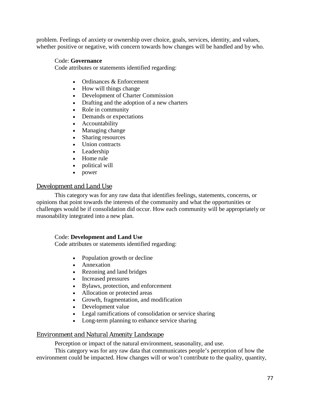problem. Feelings of anxiety or ownership over choice, goals, services, identity, and values, whether positive or negative, with concern towards how changes will be handled and by who.

### Code: **Governance**

Code attributes or statements identified regarding:

- Ordinances & Enforcement
- How will things change
- Development of Charter Commission
- Drafting and the adoption of a new charters
- Role in community
- Demands or expectations
- Accountability
- Managing change
- Sharing resources
- Union contracts
- Leadership
- Home rule
- political will
- power

# *Development and Land Use*

This category was for any raw data that identifies feelings, statements, concerns, or opinions that point towards the interests of the community and what the opportunities or challenges would be if consolidation did occur. How each community will be appropriately or reasonability integrated into a new plan.

### Code: **Development and Land Use**

Code attributes or statements identified regarding:

- Population growth or decline
- Annexation
- Rezoning and land bridges
- Increased pressures
- Bylaws, protection, and enforcement
- Allocation or protected areas
- Growth, fragmentation, and modification
- Development value
- Legal ramifications of consolidation or service sharing
- Long-term planning to enhance service sharing

# *Environment and Natural Amenity Landscape*

Perception or impact of the natural environment, seasonality, and use.

This category was for any raw data that communicates people's perception of how the environment could be impacted. How changes will or won't contribute to the quality, quantity,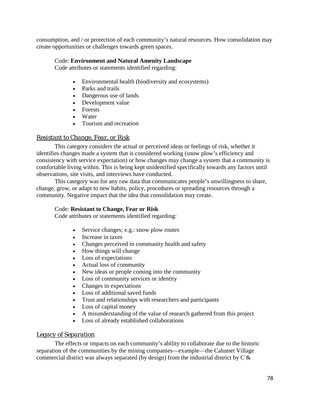consumption, and / or protection of each community's natural resources. How consolidation may create opportunities or challenges towards green spaces.

# Code: **Environment and Natural Amenity Landscape**

Code attributes or statements identified regarding:

- Environmental health (biodiversity and ecosystems)
- Parks and trails
- Dangerous use of lands
- Development value
- Forests
- Water
- Tourism and recreation

# *Resistant to Change, Fear, or Risk*

This category considers the actual or perceived ideas or feelings of risk, whether it identifies changes made a system that is considered working (snow plow's efficiency and consistency with service expectation) or how changes may change a system that a community is comfortable living within. This is being kept unidentified specifically towards any factors until observations, site visits, and interviews have conducted.

This category was for any raw data that communicates people's unwillingness to share, change, grow, or adapt to new habits, policy, procedures or spreading resources through a community. Negative impact that the idea that consolidation may create.

# Code: **Resistant to Change, Fear or Risk**

Code attributes or statements identified regarding:

- Service changes; e.g.: snow plow routes
- Increase in taxes
- Changes perceived in community health and safety
- How things will change
- Loss of expectations
- Actual loss of community
- New ideas or people coming into the community
- Loss of community services or identity
- Changes in expectations
- Loss of additional saved funds
- Trust and relationships with researchers and participants
- Loss of capital money
- A misunderstanding of the value of research gathered from this project
- Loss of already established collaborations

# *Legacy of Separation*

The effects or impacts on each community's ability to collaborate due to the historic separation of the communities by the mining companies—example—the Calumet Village commercial district was always separated (by design) from the industrial district by C &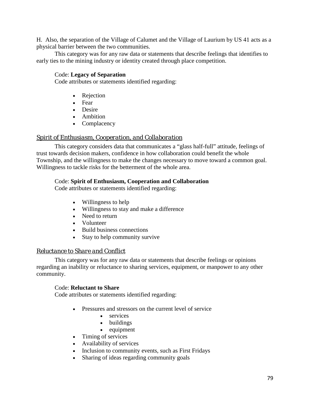H. Also, the separation of the Village of Calumet and the Village of Laurium by US 41 acts as a physical barrier between the two communities.

This category was for any raw data or statements that describe feelings that identifies to early ties to the mining industry or identity created through place competition.

# Code: **Legacy of Separation**

Code attributes or statements identified regarding:

- Rejection
- Fear
- Desire
- Ambition
- Complacency

# *Spirit of Enthusiasm, Cooperation, and Collaboration*

This category considers data that communicates a "glass half-full" attitude, feelings of trust towards decision makers, confidence in how collaboration could benefit the whole Township, and the willingness to make the changes necessary to move toward a common goal. Willingness to tackle risks for the betterment of the whole area.

### Code: **Spirit of Enthusiasm, Cooperation and Collaboration**

Code attributes or statements identified regarding:

- Willingness to help
- Willingness to stay and make a difference
- Need to return
- Volunteer
- Build business connections
- Stay to help community survive

# *Reluctance to Share and Conflict*

This category was for any raw data or statements that describe feelings or opinions regarding an inability or reluctance to sharing services, equipment, or manpower to any other community.

### Code: **Reluctant to Share**

Code attributes or statements identified regarding:

- Pressures and stressors on the current level of service
	- services
	- buildings
	- equipment
- Timing of services
- Availability of services
- Inclusion to community events, such as First Fridays
- Sharing of ideas regarding community goals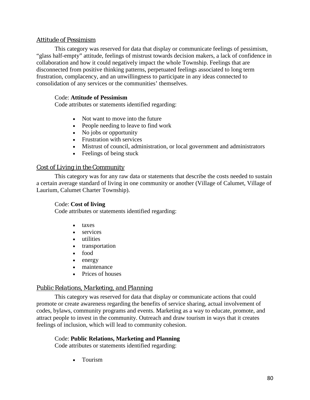# *Attitude of Pessimism*

This category was reserved for data that display or communicate feelings of pessimism, "glass half-empty" attitude, feelings of mistrust towards decision makers, a lack of confidence in collaboration and how it could negatively impact the whole Township. Feelings that are disconnected from positive thinking patterns, perpetuated feelings associated to long term frustration, complacency, and an unwillingness to participate in any ideas connected to consolidation of any services or the communities' themselves.

# Code: **Attitude of Pessimism**

Code attributes or statements identified regarding:

- Not want to move into the future
- People needing to leave to find work
- No jobs or opportunity
- Frustration with services
- Mistrust of council, administration, or local government and administrators
- Feelings of being stuck

### *Cost of Living in the Community*

This category was for any raw data or statements that describe the costs needed to sustain a certain average standard of living in one community or another (Village of Calumet, Village of Laurium, Calumet Charter Township).

# Code: **Cost of living**

Code attributes or statements identified regarding:

- taxes
- services
- utilities
- transportation
- food
- energy
- maintenance
- Prices of houses

# *Public Relations, Marketing, and Planning*

This category was reserved for data that display or communicate actions that could promote or create awareness regarding the benefits of service sharing, actual involvement of codes, bylaws, community programs and events. Marketing as a way to educate, promote, and attract people to invest in the community. Outreach and draw tourism in ways that it creates feelings of inclusion, which will lead to community cohesion.

# Code: **Public Relations, Marketing and Planning**

Code attributes or statements identified regarding:

• Tourism